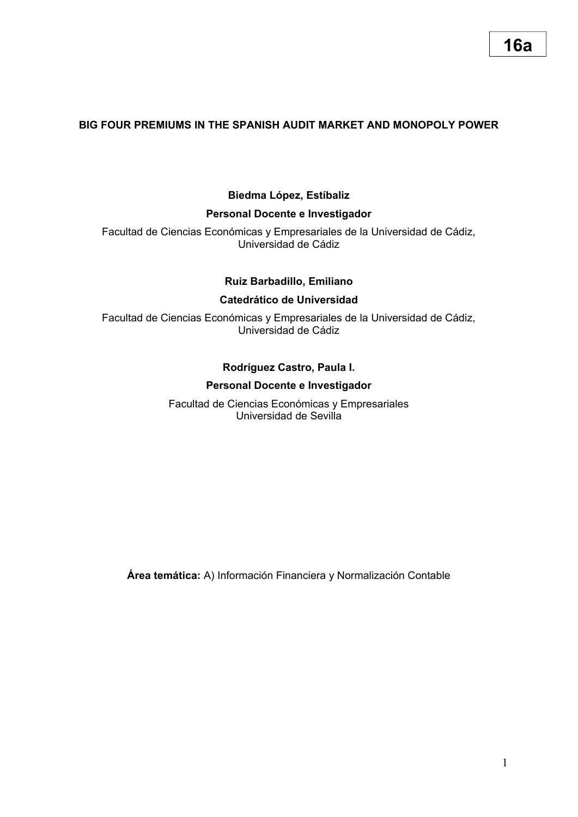# **16a**

## **BIG FOUR PREMIUMS IN THE SPANISH AUDIT MARKET AND MONOPOLY POWER**

## **Biedma López, Estíbaliz**

### **Personal Docente e Investigador**

Facultad de Ciencias Económicas y Empresariales de la Universidad de Cádiz, Universidad de Cádiz

## **Ruiz Barbadillo, Emiliano**

### **Catedrático de Universidad**

Facultad de Ciencias Económicas y Empresariales de la Universidad de Cádiz, Universidad de Cádiz

## **Rodríguez Castro, Paula I.**

### **Personal Docente e Investigador**

Facultad de Ciencias Económicas y Empresariales Universidad de Sevilla

**Área temática:** A) Información Financiera y Normalización Contable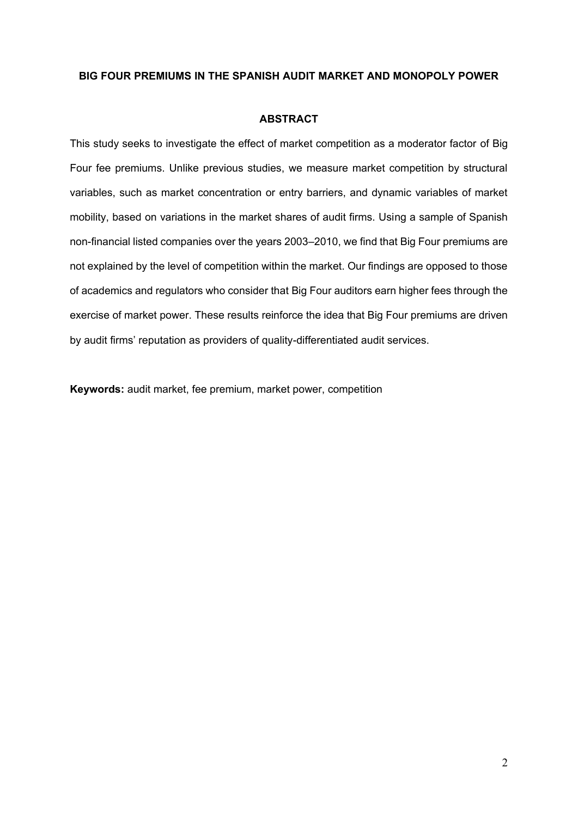#### **BIG FOUR PREMIUMS IN THE SPANISH AUDIT MARKET AND MONOPOLY POWER**

#### **ABSTRACT**

This study seeks to investigate the effect of market competition as a moderator factor of Big Four fee premiums. Unlike previous studies, we measure market competition by structural variables, such as market concentration or entry barriers, and dynamic variables of market mobility, based on variations in the market shares of audit firms. Using a sample of Spanish non-financial listed companies over the years 2003–2010, we find that Big Four premiums are not explained by the level of competition within the market. Our findings are opposed to those of academics and regulators who consider that Big Four auditors earn higher fees through the exercise of market power. These results reinforce the idea that Big Four premiums are driven by audit firms' reputation as providers of quality-differentiated audit services.

**Keywords:** audit market, fee premium, market power, competition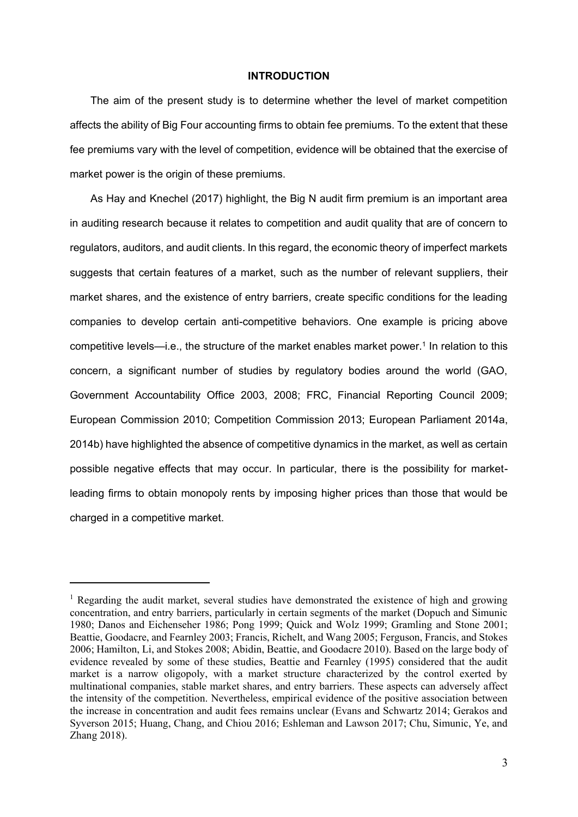#### **INTRODUCTION**

The aim of the present study is to determine whether the level of market competition affects the ability of Big Four accounting firms to obtain fee premiums. To the extent that these fee premiums vary with the level of competition, evidence will be obtained that the exercise of market power is the origin of these premiums.

As Hay and Knechel (2017) highlight, the Big N audit firm premium is an important area in auditing research because it relates to competition and audit quality that are of concern to regulators, auditors, and audit clients. In this regard, the economic theory of imperfect markets suggests that certain features of a market, such as the number of relevant suppliers, their market shares, and the existence of entry barriers, create specific conditions for the leading companies to develop certain anti-competitive behaviors. One example is pricing above competitive levels—i.e., the structure of the market enables market power.<sup>1</sup> In relation to this concern, a significant number of studies by regulatory bodies around the world (GAO, Government Accountability Office 2003, 2008; FRC, Financial Reporting Council 2009; European Commission 2010; Competition Commission 2013; European Parliament 2014a, 2014b) have highlighted the absence of competitive dynamics in the market, as well as certain possible negative effects that may occur. In particular, there is the possibility for marketleading firms to obtain monopoly rents by imposing higher prices than those that would be charged in a competitive market.

 $1$  Regarding the audit market, several studies have demonstrated the existence of high and growing concentration, and entry barriers, particularly in certain segments of the market (Dopuch and Simunic 1980; Danos and Eichenseher 1986; Pong 1999; Quick and Wolz 1999; Gramling and Stone 2001; Beattie, Goodacre, and Fearnley 2003; Francis, Richelt, and Wang 2005; Ferguson, Francis, and Stokes 2006; Hamilton, Li, and Stokes 2008; Abidin, Beattie, and Goodacre 2010). Based on the large body of evidence revealed by some of these studies, Beattie and Fearnley (1995) considered that the audit market is a narrow oligopoly, with a market structure characterized by the control exerted by multinational companies, stable market shares, and entry barriers. These aspects can adversely affect the intensity of the competition. Nevertheless, empirical evidence of the positive association between the increase in concentration and audit fees remains unclear (Evans and Schwartz 2014; Gerakos and Syverson 2015; Huang, Chang, and Chiou 2016; Eshleman and Lawson 2017; Chu, Simunic, Ye, and Zhang 2018).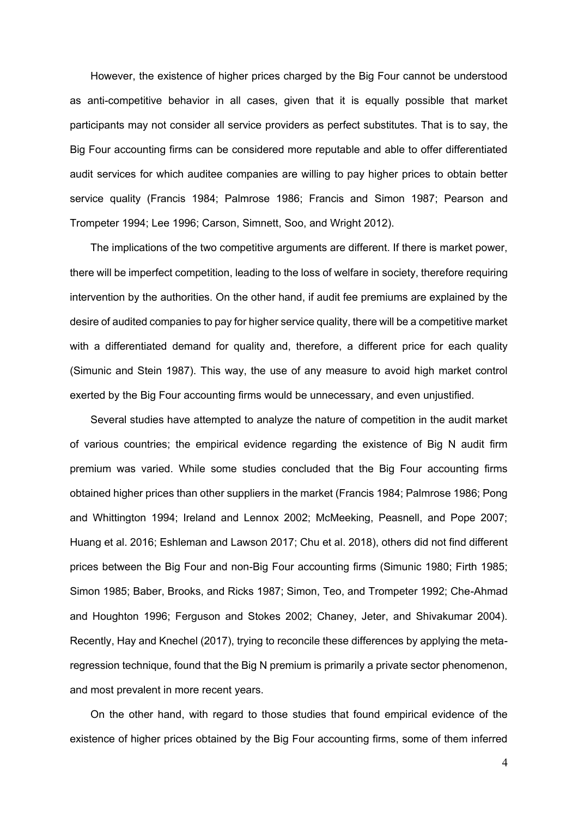However, the existence of higher prices charged by the Big Four cannot be understood as anti-competitive behavior in all cases, given that it is equally possible that market participants may not consider all service providers as perfect substitutes. That is to say, the Big Four accounting firms can be considered more reputable and able to offer differentiated audit services for which auditee companies are willing to pay higher prices to obtain better service quality (Francis 1984; Palmrose 1986; Francis and Simon 1987; Pearson and Trompeter 1994; Lee 1996; Carson, Simnett, Soo, and Wright 2012).

The implications of the two competitive arguments are different. If there is market power, there will be imperfect competition, leading to the loss of welfare in society, therefore requiring intervention by the authorities. On the other hand, if audit fee premiums are explained by the desire of audited companies to pay for higher service quality, there will be a competitive market with a differentiated demand for quality and, therefore, a different price for each quality (Simunic and Stein 1987). This way, the use of any measure to avoid high market control exerted by the Big Four accounting firms would be unnecessary, and even unjustified.

Several studies have attempted to analyze the nature of competition in the audit market of various countries; the empirical evidence regarding the existence of Big N audit firm premium was varied. While some studies concluded that the Big Four accounting firms obtained higher prices than other suppliers in the market (Francis 1984; Palmrose 1986; Pong and Whittington 1994; Ireland and Lennox 2002; McMeeking, Peasnell, and Pope 2007; Huang et al. 2016; Eshleman and Lawson 2017; Chu et al. 2018), others did not find different prices between the Big Four and non-Big Four accounting firms (Simunic 1980; Firth 1985; Simon 1985; Baber, Brooks, and Ricks 1987; Simon, Teo, and Trompeter 1992; Che-Ahmad and Houghton 1996; Ferguson and Stokes 2002; Chaney, Jeter, and Shivakumar 2004). Recently, Hay and Knechel (2017), trying to reconcile these differences by applying the metaregression technique, found that the Big N premium is primarily a private sector phenomenon, and most prevalent in more recent years.

On the other hand, with regard to those studies that found empirical evidence of the existence of higher prices obtained by the Big Four accounting firms, some of them inferred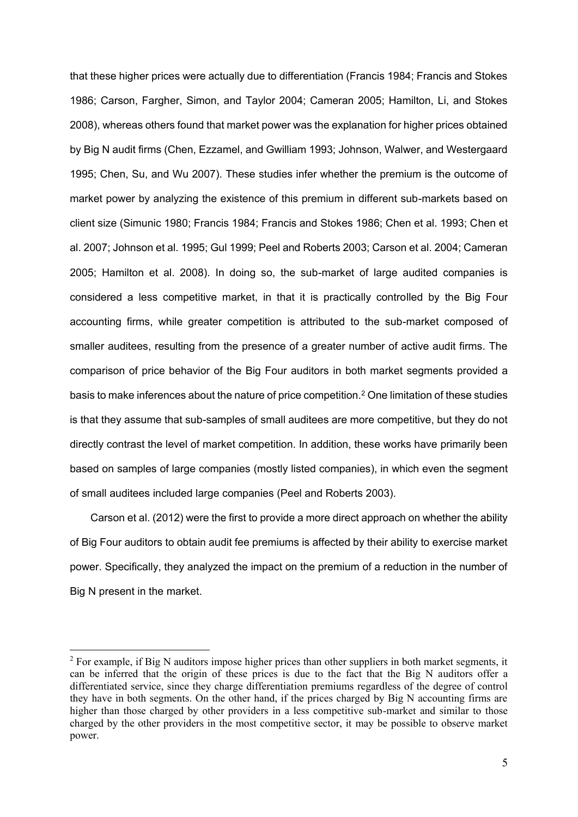that these higher prices were actually due to differentiation (Francis 1984; Francis and Stokes 1986; Carson, Fargher, Simon, and Taylor 2004; Cameran 2005; Hamilton, Li, and Stokes 2008), whereas others found that market power was the explanation for higher prices obtained by Big N audit firms (Chen, Ezzamel, and Gwilliam 1993; Johnson, Walwer, and Westergaard 1995; Chen, Su, and Wu 2007). These studies infer whether the premium is the outcome of market power by analyzing the existence of this premium in different sub-markets based on client size (Simunic 1980; Francis 1984; Francis and Stokes 1986; Chen et al. 1993; Chen et al. 2007; Johnson et al. 1995; Gul 1999; Peel and Roberts 2003; Carson et al. 2004; Cameran 2005; Hamilton et al. 2008). In doing so, the sub-market of large audited companies is considered a less competitive market, in that it is practically controlled by the Big Four accounting firms, while greater competition is attributed to the sub-market composed of smaller auditees, resulting from the presence of a greater number of active audit firms. The comparison of price behavior of the Big Four auditors in both market segments provided a basis to make inferences about the nature of price competition.<sup>2</sup> One limitation of these studies is that they assume that sub-samples of small auditees are more competitive, but they do not directly contrast the level of market competition. In addition, these works have primarily been based on samples of large companies (mostly listed companies), in which even the segment of small auditees included large companies (Peel and Roberts 2003).

Carson et al. (2012) were the first to provide a more direct approach on whether the ability of Big Four auditors to obtain audit fee premiums is affected by their ability to exercise market power. Specifically, they analyzed the impact on the premium of a reduction in the number of Big N present in the market.

<sup>&</sup>lt;sup>2</sup> For example, if Big N auditors impose higher prices than other suppliers in both market segments, it can be inferred that the origin of these prices is due to the fact that the Big N auditors offer a differentiated service, since they charge differentiation premiums regardless of the degree of control they have in both segments. On the other hand, if the prices charged by Big N accounting firms are higher than those charged by other providers in a less competitive sub-market and similar to those charged by the other providers in the most competitive sector, it may be possible to observe market power.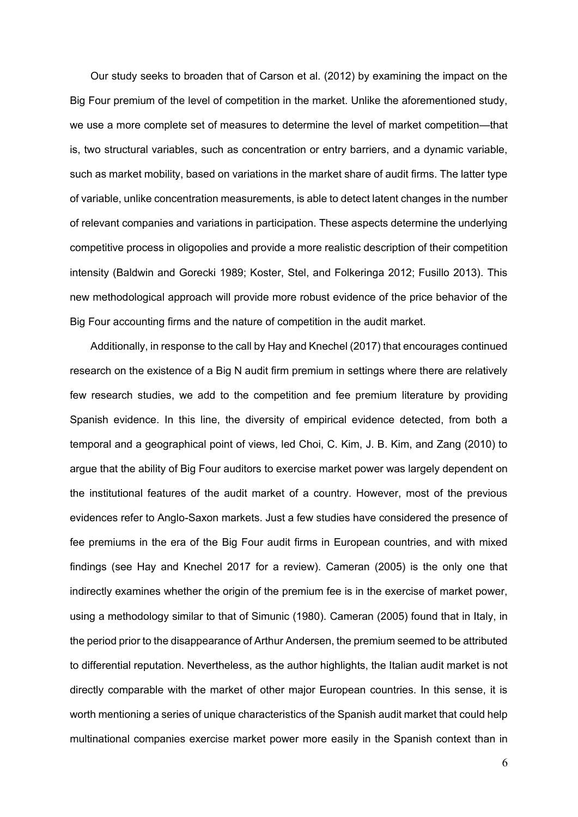Our study seeks to broaden that of Carson et al. (2012) by examining the impact on the Big Four premium of the level of competition in the market. Unlike the aforementioned study, we use a more complete set of measures to determine the level of market competition—that is, two structural variables, such as concentration or entry barriers, and a dynamic variable, such as market mobility, based on variations in the market share of audit firms. The latter type of variable, unlike concentration measurements, is able to detect latent changes in the number of relevant companies and variations in participation. These aspects determine the underlying competitive process in oligopolies and provide a more realistic description of their competition intensity (Baldwin and Gorecki 1989; Koster, Stel, and Folkeringa 2012; Fusillo 2013). This new methodological approach will provide more robust evidence of the price behavior of the Big Four accounting firms and the nature of competition in the audit market.

Additionally, in response to the call by Hay and Knechel (2017) that encourages continued research on the existence of a Big N audit firm premium in settings where there are relatively few research studies, we add to the competition and fee premium literature by providing Spanish evidence. In this line, the diversity of empirical evidence detected, from both a temporal and a geographical point of views, led Choi, C. Kim, J. B. Kim, and Zang (2010) to argue that the ability of Big Four auditors to exercise market power was largely dependent on the institutional features of the audit market of a country. However, most of the previous evidences refer to Anglo-Saxon markets. Just a few studies have considered the presence of fee premiums in the era of the Big Four audit firms in European countries, and with mixed findings (see Hay and Knechel 2017 for a review). Cameran (2005) is the only one that indirectly examines whether the origin of the premium fee is in the exercise of market power, using a methodology similar to that of Simunic (1980). Cameran (2005) found that in Italy, in the period prior to the disappearance of Arthur Andersen, the premium seemed to be attributed to differential reputation. Nevertheless, as the author highlights, the Italian audit market is not directly comparable with the market of other major European countries. In this sense, it is worth mentioning a series of unique characteristics of the Spanish audit market that could help multinational companies exercise market power more easily in the Spanish context than in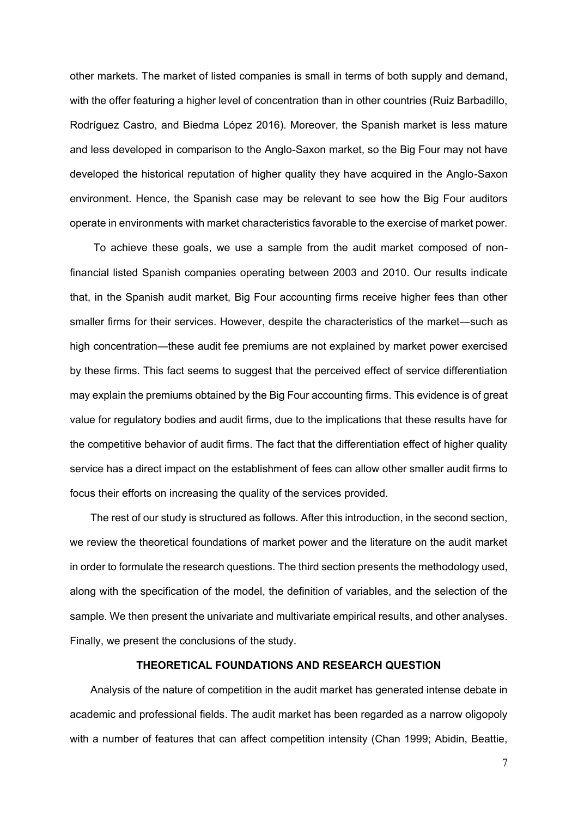other markets. The market of listed companies is small in terms of both supply and demand, with the offer featuring a higher level of concentration than in other countries (Ruiz Barbadillo, Rodríguez Castro, and Biedma López 2016). Moreover, the Spanish market is less mature and less developed in comparison to the Anglo-Saxon market, so the Big Four may not have developed the historical reputation of higher quality they have acquired in the Anglo-Saxon environment. Hence, the Spanish case may be relevant to see how the Big Four auditors operate in environments with market characteristics favorable to the exercise of market power.

To achieve these goals, we use a sample from the audit market composed of nonfinancial listed Spanish companies operating between 2003 and 2010. Our results indicate that, in the Spanish audit market, Big Four accounting firms receive higher fees than other smaller firms for their services. However, despite the characteristics of the market―such as high concentration—these audit fee premiums are not explained by market power exercised by these firms. This fact seems to suggest that the perceived effect of service differentiation may explain the premiums obtained by the Big Four accounting firms. This evidence is of great value for regulatory bodies and audit firms, due to the implications that these results have for the competitive behavior of audit firms. The fact that the differentiation effect of higher quality service has a direct impact on the establishment of fees can allow other smaller audit firms to focus their efforts on increasing the quality of the services provided.

The rest of our study is structured as follows. After this introduction, in the second section, we review the theoretical foundations of market power and the literature on the audit market in order to formulate the research questions. The third section presents the methodology used, along with the specification of the model, the definition of variables, and the selection of the sample. We then present the univariate and multivariate empirical results, and other analyses. Finally, we present the conclusions of the study.

## **THEORETICAL FOUNDATIONS AND RESEARCH QUESTION**

Analysis of the nature of competition in the audit market has generated intense debate in academic and professional fields. The audit market has been regarded as a narrow oligopoly with a number of features that can affect competition intensity (Chan 1999; Abidin, Beattie,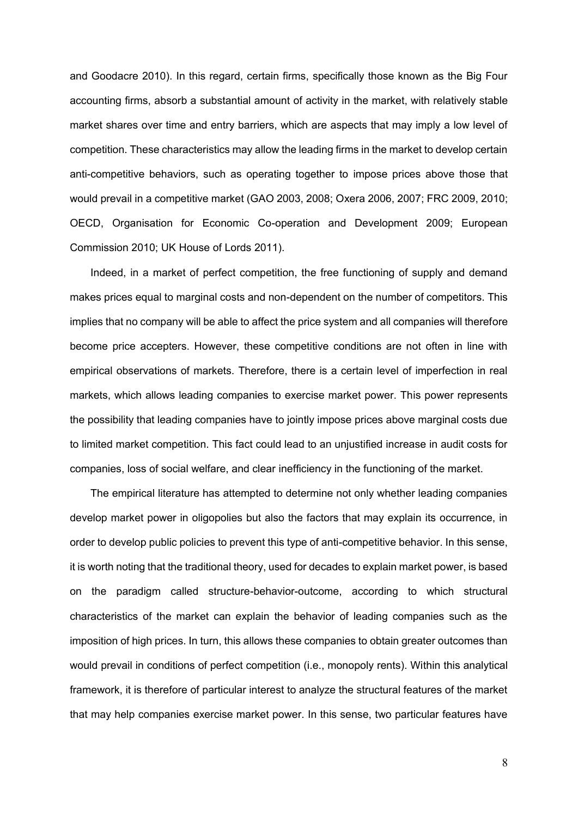and Goodacre 2010). In this regard, certain firms, specifically those known as the Big Four accounting firms, absorb a substantial amount of activity in the market, with relatively stable market shares over time and entry barriers, which are aspects that may imply a low level of competition. These characteristics may allow the leading firms in the market to develop certain anti-competitive behaviors, such as operating together to impose prices above those that would prevail in a competitive market (GAO 2003, 2008; Oxera 2006, 2007; FRC 2009, 2010; OECD, Organisation for Economic Co-operation and Development 2009; European Commission 2010; UK House of Lords 2011).

Indeed, in a market of perfect competition, the free functioning of supply and demand makes prices equal to marginal costs and non-dependent on the number of competitors. This implies that no company will be able to affect the price system and all companies will therefore become price accepters. However, these competitive conditions are not often in line with empirical observations of markets. Therefore, there is a certain level of imperfection in real markets, which allows leading companies to exercise market power. This power represents the possibility that leading companies have to jointly impose prices above marginal costs due to limited market competition. This fact could lead to an unjustified increase in audit costs for companies, loss of social welfare, and clear inefficiency in the functioning of the market.

The empirical literature has attempted to determine not only whether leading companies develop market power in oligopolies but also the factors that may explain its occurrence, in order to develop public policies to prevent this type of anti-competitive behavior. In this sense, it is worth noting that the traditional theory, used for decades to explain market power, is based on the paradigm called structure-behavior-outcome, according to which structural characteristics of the market can explain the behavior of leading companies such as the imposition of high prices. In turn, this allows these companies to obtain greater outcomes than would prevail in conditions of perfect competition (i.e., monopoly rents). Within this analytical framework, it is therefore of particular interest to analyze the structural features of the market that may help companies exercise market power. In this sense, two particular features have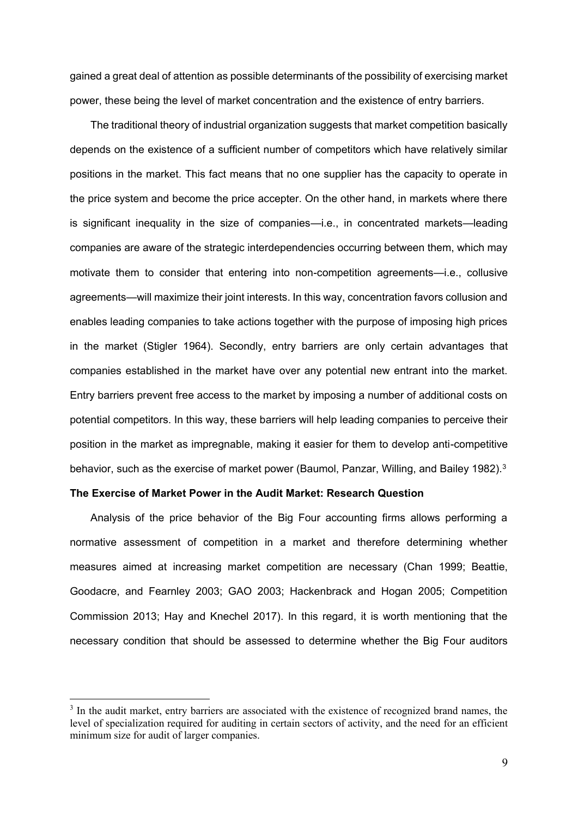gained a great deal of attention as possible determinants of the possibility of exercising market power, these being the level of market concentration and the existence of entry barriers.

The traditional theory of industrial organization suggests that market competition basically depends on the existence of a sufficient number of competitors which have relatively similar positions in the market. This fact means that no one supplier has the capacity to operate in the price system and become the price accepter. On the other hand, in markets where there is significant inequality in the size of companies—i.e., in concentrated markets—leading companies are aware of the strategic interdependencies occurring between them, which may motivate them to consider that entering into non-competition agreements—i.e., collusive agreements—will maximize their joint interests. In this way, concentration favors collusion and enables leading companies to take actions together with the purpose of imposing high prices in the market (Stigler 1964). Secondly, entry barriers are only certain advantages that companies established in the market have over any potential new entrant into the market. Entry barriers prevent free access to the market by imposing a number of additional costs on potential competitors. In this way, these barriers will help leading companies to perceive their position in the market as impregnable, making it easier for them to develop anti-competitive behavior, such as the exercise of market power (Baumol, Panzar, Willing, and Bailey 1982).<sup>3</sup>

## **The Exercise of Market Power in the Audit Market: Research Question**

1

Analysis of the price behavior of the Big Four accounting firms allows performing a normative assessment of competition in a market and therefore determining whether measures aimed at increasing market competition are necessary (Chan 1999; Beattie, Goodacre, and Fearnley 2003; GAO 2003; Hackenbrack and Hogan 2005; Competition Commission 2013; Hay and Knechel 2017). In this regard, it is worth mentioning that the necessary condition that should be assessed to determine whether the Big Four auditors

<sup>&</sup>lt;sup>3</sup> In the audit market, entry barriers are associated with the existence of recognized brand names, the level of specialization required for auditing in certain sectors of activity, and the need for an efficient minimum size for audit of larger companies.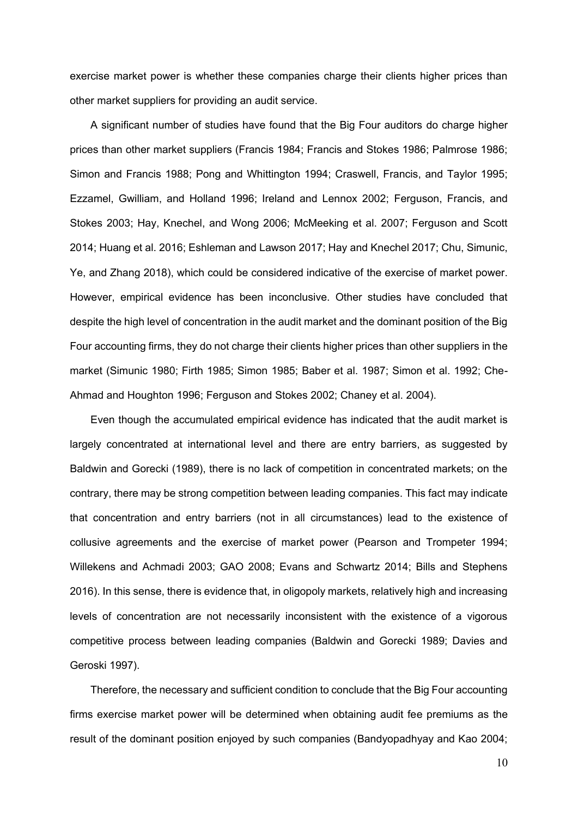exercise market power is whether these companies charge their clients higher prices than other market suppliers for providing an audit service.

A significant number of studies have found that the Big Four auditors do charge higher prices than other market suppliers (Francis 1984; Francis and Stokes 1986; Palmrose 1986; Simon and Francis 1988; Pong and Whittington 1994; Craswell, Francis, and Taylor 1995; Ezzamel, Gwilliam, and Holland 1996; Ireland and Lennox 2002; Ferguson, Francis, and Stokes 2003; Hay, Knechel, and Wong 2006; McMeeking et al. 2007; Ferguson and Scott 2014; Huang et al. 2016; Eshleman and Lawson 2017; Hay and Knechel 2017; Chu, Simunic, Ye, and Zhang 2018), which could be considered indicative of the exercise of market power. However, empirical evidence has been inconclusive. Other studies have concluded that despite the high level of concentration in the audit market and the dominant position of the Big Four accounting firms, they do not charge their clients higher prices than other suppliers in the market (Simunic 1980; Firth 1985; Simon 1985; Baber et al. 1987; Simon et al. 1992; Che-Ahmad and Houghton 1996; Ferguson and Stokes 2002; Chaney et al. 2004).

Even though the accumulated empirical evidence has indicated that the audit market is largely concentrated at international level and there are entry barriers, as suggested by Baldwin and Gorecki (1989), there is no lack of competition in concentrated markets; on the contrary, there may be strong competition between leading companies. This fact may indicate that concentration and entry barriers (not in all circumstances) lead to the existence of collusive agreements and the exercise of market power (Pearson and Trompeter 1994; Willekens and Achmadi 2003; GAO 2008; Evans and Schwartz 2014; Bills and Stephens 2016). In this sense, there is evidence that, in oligopoly markets, relatively high and increasing levels of concentration are not necessarily inconsistent with the existence of a vigorous competitive process between leading companies (Baldwin and Gorecki 1989; Davies and Geroski 1997).

Therefore, the necessary and sufficient condition to conclude that the Big Four accounting firms exercise market power will be determined when obtaining audit fee premiums as the result of the dominant position enjoyed by such companies (Bandyopadhyay and Kao 2004;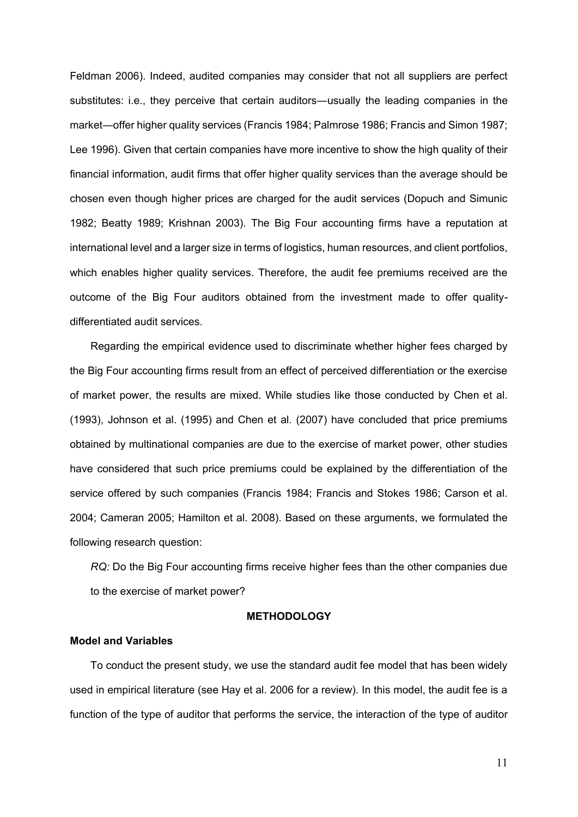Feldman 2006). Indeed, audited companies may consider that not all suppliers are perfect substitutes: i.e., they perceive that certain auditors―usually the leading companies in the market—offer higher quality services (Francis 1984; Palmrose 1986; Francis and Simon 1987; Lee 1996). Given that certain companies have more incentive to show the high quality of their financial information, audit firms that offer higher quality services than the average should be chosen even though higher prices are charged for the audit services (Dopuch and Simunic 1982; Beatty 1989; Krishnan 2003). The Big Four accounting firms have a reputation at international level and a larger size in terms of logistics, human resources, and client portfolios, which enables higher quality services. Therefore, the audit fee premiums received are the outcome of the Big Four auditors obtained from the investment made to offer qualitydifferentiated audit services.

Regarding the empirical evidence used to discriminate whether higher fees charged by the Big Four accounting firms result from an effect of perceived differentiation or the exercise of market power, the results are mixed. While studies like those conducted by Chen et al. (1993), Johnson et al. (1995) and Chen et al. (2007) have concluded that price premiums obtained by multinational companies are due to the exercise of market power, other studies have considered that such price premiums could be explained by the differentiation of the service offered by such companies (Francis 1984; Francis and Stokes 1986; Carson et al. 2004; Cameran 2005; Hamilton et al. 2008). Based on these arguments, we formulated the following research question:

*RQ:* Do the Big Four accounting firms receive higher fees than the other companies due to the exercise of market power?

#### **METHODOLOGY**

#### **Model and Variables**

To conduct the present study, we use the standard audit fee model that has been widely used in empirical literature (see Hay et al. 2006 for a review). In this model, the audit fee is a function of the type of auditor that performs the service, the interaction of the type of auditor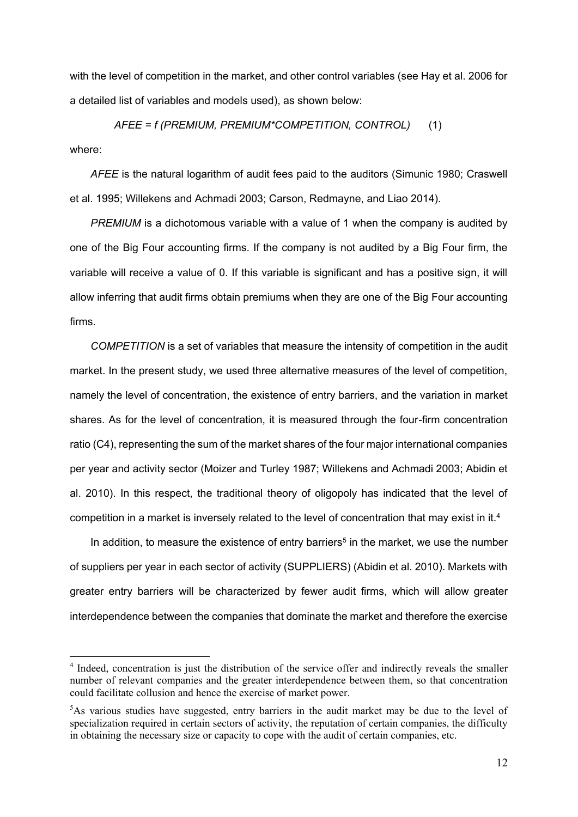with the level of competition in the market, and other control variables (see Hay et al. 2006 for a detailed list of variables and models used), as shown below:

*AFEE = f (PREMIUM, PREMIUM\*COMPETITION, CONTROL)* (1)

where:

1

*AFEE* is the natural logarithm of audit fees paid to the auditors (Simunic 1980; Craswell et al. 1995; Willekens and Achmadi 2003; Carson, Redmayne, and Liao 2014).

*PREMIUM* is a dichotomous variable with a value of 1 when the company is audited by one of the Big Four accounting firms. If the company is not audited by a Big Four firm, the variable will receive a value of 0. If this variable is significant and has a positive sign, it will allow inferring that audit firms obtain premiums when they are one of the Big Four accounting firms.

*COMPETITION* is a set of variables that measure the intensity of competition in the audit market. In the present study, we used three alternative measures of the level of competition, namely the level of concentration, the existence of entry barriers, and the variation in market shares. As for the level of concentration, it is measured through the four-firm concentration ratio (C4), representing the sum of the market shares of the four major international companies per year and activity sector (Moizer and Turley 1987; Willekens and Achmadi 2003; Abidin et al. 2010). In this respect, the traditional theory of oligopoly has indicated that the level of competition in a market is inversely related to the level of concentration that may exist in it.<sup>4</sup>

In addition, to measure the existence of entry barriers<sup>5</sup> in the market, we use the number of suppliers per year in each sector of activity (SUPPLIERS) (Abidin et al. 2010). Markets with greater entry barriers will be characterized by fewer audit firms, which will allow greater interdependence between the companies that dominate the market and therefore the exercise

<sup>&</sup>lt;sup>4</sup> Indeed, concentration is just the distribution of the service offer and indirectly reveals the smaller number of relevant companies and the greater interdependence between them, so that concentration could facilitate collusion and hence the exercise of market power.

 ${}^{5}$ As various studies have suggested, entry barriers in the audit market may be due to the level of specialization required in certain sectors of activity, the reputation of certain companies, the difficulty in obtaining the necessary size or capacity to cope with the audit of certain companies, etc.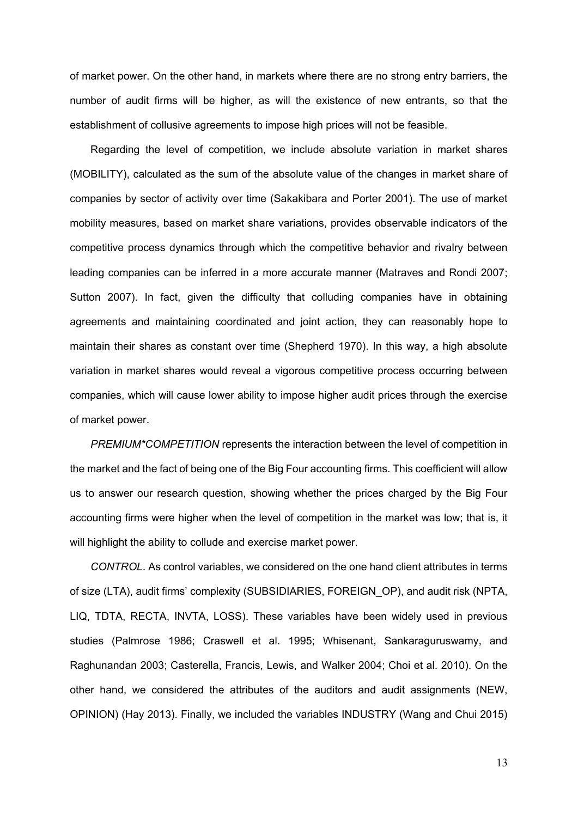of market power. On the other hand, in markets where there are no strong entry barriers, the number of audit firms will be higher, as will the existence of new entrants, so that the establishment of collusive agreements to impose high prices will not be feasible.

Regarding the level of competition, we include absolute variation in market shares (MOBILITY), calculated as the sum of the absolute value of the changes in market share of companies by sector of activity over time (Sakakibara and Porter 2001). The use of market mobility measures, based on market share variations, provides observable indicators of the competitive process dynamics through which the competitive behavior and rivalry between leading companies can be inferred in a more accurate manner (Matraves and Rondi 2007; Sutton 2007). In fact, given the difficulty that colluding companies have in obtaining agreements and maintaining coordinated and joint action, they can reasonably hope to maintain their shares as constant over time (Shepherd 1970). In this way, a high absolute variation in market shares would reveal a vigorous competitive process occurring between companies, which will cause lower ability to impose higher audit prices through the exercise of market power.

*PREMIUM\*COMPETITION* represents the interaction between the level of competition in the market and the fact of being one of the Big Four accounting firms. This coefficient will allow us to answer our research question, showing whether the prices charged by the Big Four accounting firms were higher when the level of competition in the market was low; that is, it will highlight the ability to collude and exercise market power.

*CONTROL*. As control variables, we considered on the one hand client attributes in terms of size (LTA), audit firms' complexity (SUBSIDIARIES, FOREIGN\_OP), and audit risk (NPTA, LIQ, TDTA, RECTA, INVTA, LOSS). These variables have been widely used in previous studies (Palmrose 1986; Craswell et al. 1995; Whisenant, Sankaraguruswamy, and Raghunandan 2003; Casterella, Francis, Lewis, and Walker 2004; Choi et al. 2010). On the other hand, we considered the attributes of the auditors and audit assignments (NEW, OPINION) (Hay 2013). Finally, we included the variables INDUSTRY (Wang and Chui 2015)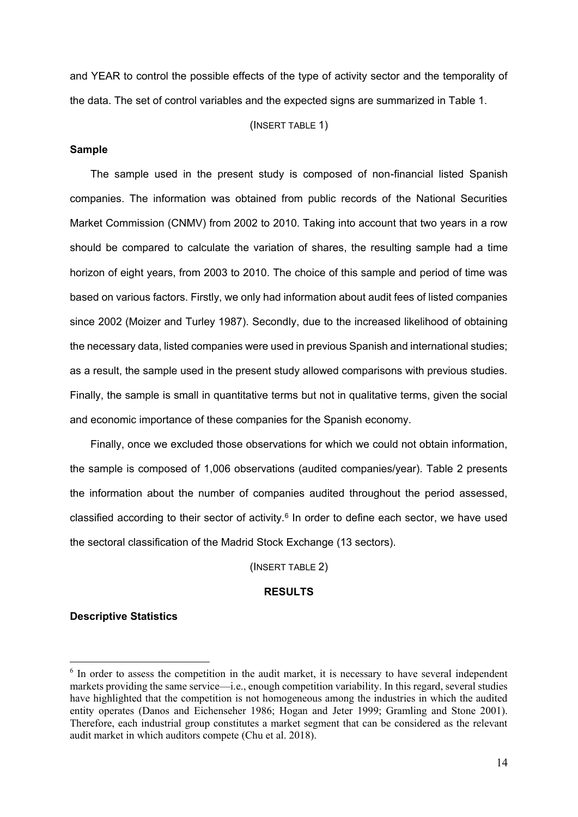and YEAR to control the possible effects of the type of activity sector and the temporality of the data. The set of control variables and the expected signs are summarized in Table 1.

#### (INSERT TABLE 1)

#### **Sample**

The sample used in the present study is composed of non-financial listed Spanish companies. The information was obtained from public records of the National Securities Market Commission (CNMV) from 2002 to 2010. Taking into account that two years in a row should be compared to calculate the variation of shares, the resulting sample had a time horizon of eight years, from 2003 to 2010. The choice of this sample and period of time was based on various factors. Firstly, we only had information about audit fees of listed companies since 2002 (Moizer and Turley 1987). Secondly, due to the increased likelihood of obtaining the necessary data, listed companies were used in previous Spanish and international studies; as a result, the sample used in the present study allowed comparisons with previous studies. Finally, the sample is small in quantitative terms but not in qualitative terms, given the social and economic importance of these companies for the Spanish economy.

Finally, once we excluded those observations for which we could not obtain information, the sample is composed of 1,006 observations (audited companies/year). Table 2 presents the information about the number of companies audited throughout the period assessed, classified according to their sector of activity. $6$  In order to define each sector, we have used the sectoral classification of the Madrid Stock Exchange (13 sectors).

(INSERT TABLE 2)

#### **RESULTS**

#### **Descriptive Statistics**

 $6$  In order to assess the competition in the audit market, it is necessary to have several independent markets providing the same service—i.e., enough competition variability. In this regard, several studies have highlighted that the competition is not homogeneous among the industries in which the audited entity operates (Danos and Eichenseher 1986; Hogan and Jeter 1999; Gramling and Stone 2001). Therefore, each industrial group constitutes a market segment that can be considered as the relevant audit market in which auditors compete (Chu et al. 2018).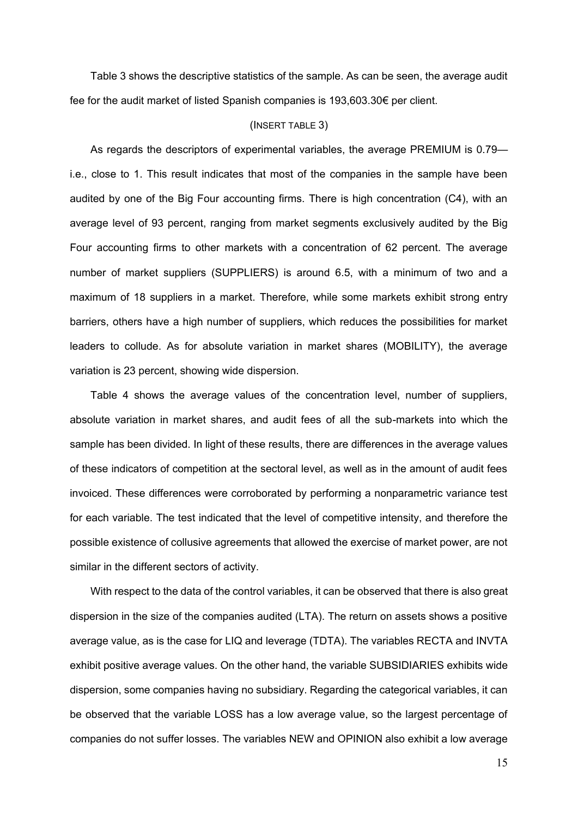Table 3 shows the descriptive statistics of the sample. As can be seen, the average audit fee for the audit market of listed Spanish companies is 193,603.30€ per client.

#### (INSERT TABLE 3)

As regards the descriptors of experimental variables, the average PREMIUM is 0.79 i.e., close to 1. This result indicates that most of the companies in the sample have been audited by one of the Big Four accounting firms. There is high concentration (C4), with an average level of 93 percent, ranging from market segments exclusively audited by the Big Four accounting firms to other markets with a concentration of 62 percent. The average number of market suppliers (SUPPLIERS) is around 6.5, with a minimum of two and a maximum of 18 suppliers in a market. Therefore, while some markets exhibit strong entry barriers, others have a high number of suppliers, which reduces the possibilities for market leaders to collude. As for absolute variation in market shares (MOBILITY), the average variation is 23 percent, showing wide dispersion.

Table 4 shows the average values of the concentration level, number of suppliers, absolute variation in market shares, and audit fees of all the sub-markets into which the sample has been divided. In light of these results, there are differences in the average values of these indicators of competition at the sectoral level, as well as in the amount of audit fees invoiced. These differences were corroborated by performing a nonparametric variance test for each variable. The test indicated that the level of competitive intensity, and therefore the possible existence of collusive agreements that allowed the exercise of market power, are not similar in the different sectors of activity.

With respect to the data of the control variables, it can be observed that there is also great dispersion in the size of the companies audited (LTA). The return on assets shows a positive average value, as is the case for LIQ and leverage (TDTA). The variables RECTA and INVTA exhibit positive average values. On the other hand, the variable SUBSIDIARIES exhibits wide dispersion, some companies having no subsidiary. Regarding the categorical variables, it can be observed that the variable LOSS has a low average value, so the largest percentage of companies do not suffer losses. The variables NEW and OPINION also exhibit a low average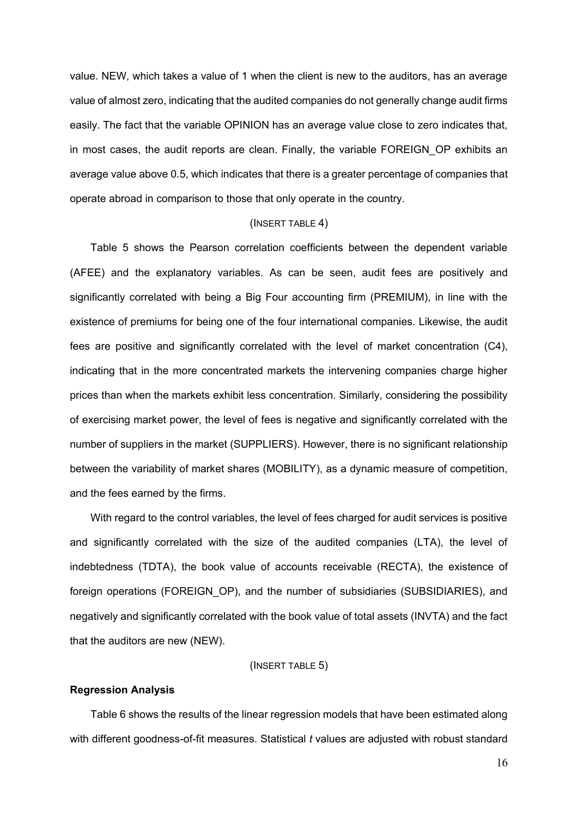value. NEW, which takes a value of 1 when the client is new to the auditors, has an average value of almost zero, indicating that the audited companies do not generally change audit firms easily. The fact that the variable OPINION has an average value close to zero indicates that, in most cases, the audit reports are clean. Finally, the variable FOREIGN\_OP exhibits an average value above 0.5, which indicates that there is a greater percentage of companies that operate abroad in comparison to those that only operate in the country.

#### (INSERT TABLE 4)

Table 5 shows the Pearson correlation coefficients between the dependent variable (AFEE) and the explanatory variables. As can be seen, audit fees are positively and significantly correlated with being a Big Four accounting firm (PREMIUM), in line with the existence of premiums for being one of the four international companies. Likewise, the audit fees are positive and significantly correlated with the level of market concentration (C4), indicating that in the more concentrated markets the intervening companies charge higher prices than when the markets exhibit less concentration. Similarly, considering the possibility of exercising market power, the level of fees is negative and significantly correlated with the number of suppliers in the market (SUPPLIERS). However, there is no significant relationship between the variability of market shares (MOBILITY), as a dynamic measure of competition, and the fees earned by the firms.

With regard to the control variables, the level of fees charged for audit services is positive and significantly correlated with the size of the audited companies (LTA), the level of indebtedness (TDTA), the book value of accounts receivable (RECTA), the existence of foreign operations (FOREIGN\_OP), and the number of subsidiaries (SUBSIDIARIES), and negatively and significantly correlated with the book value of total assets (INVTA) and the fact that the auditors are new (NEW).

#### (INSERT TABLE 5)

#### **Regression Analysis**

Table 6 shows the results of the linear regression models that have been estimated along with different goodness-of-fit measures. Statistical *t* values are adjusted with robust standard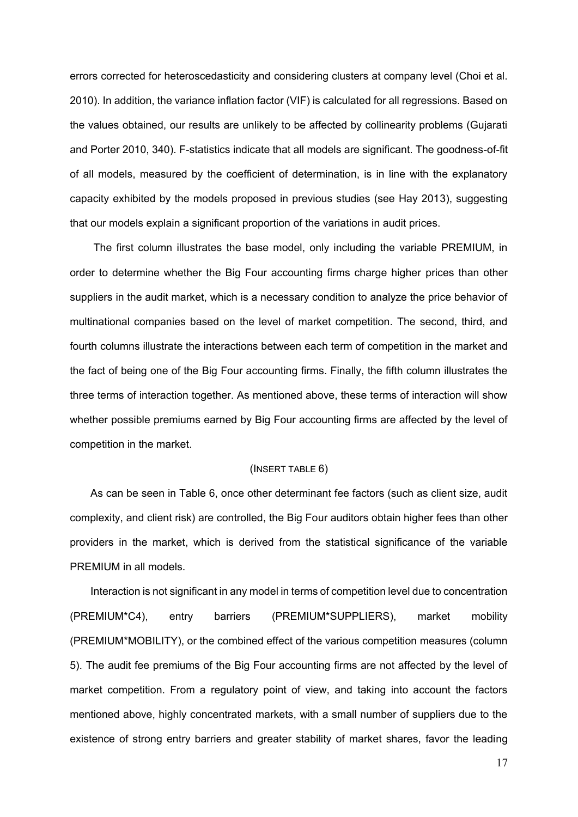errors corrected for heteroscedasticity and considering clusters at company level (Choi et al. 2010). In addition, the variance inflation factor (VIF) is calculated for all regressions. Based on the values obtained, our results are unlikely to be affected by collinearity problems (Gujarati and Porter 2010, 340). F-statistics indicate that all models are significant. The goodness-of-fit of all models, measured by the coefficient of determination, is in line with the explanatory capacity exhibited by the models proposed in previous studies (see Hay 2013), suggesting that our models explain a significant proportion of the variations in audit prices.

The first column illustrates the base model, only including the variable PREMIUM, in order to determine whether the Big Four accounting firms charge higher prices than other suppliers in the audit market, which is a necessary condition to analyze the price behavior of multinational companies based on the level of market competition. The second, third, and fourth columns illustrate the interactions between each term of competition in the market and the fact of being one of the Big Four accounting firms. Finally, the fifth column illustrates the three terms of interaction together. As mentioned above, these terms of interaction will show whether possible premiums earned by Big Four accounting firms are affected by the level of competition in the market.

### (INSERT TABLE 6)

As can be seen in Table 6, once other determinant fee factors (such as client size, audit complexity, and client risk) are controlled, the Big Four auditors obtain higher fees than other providers in the market, which is derived from the statistical significance of the variable PREMIUM in all models.

Interaction is not significant in any model in terms of competition level due to concentration (PREMIUM\*C4), entry barriers (PREMIUM\*SUPPLIERS), market mobility (PREMIUM\*MOBILITY), or the combined effect of the various competition measures (column 5). The audit fee premiums of the Big Four accounting firms are not affected by the level of market competition. From a regulatory point of view, and taking into account the factors mentioned above, highly concentrated markets, with a small number of suppliers due to the existence of strong entry barriers and greater stability of market shares, favor the leading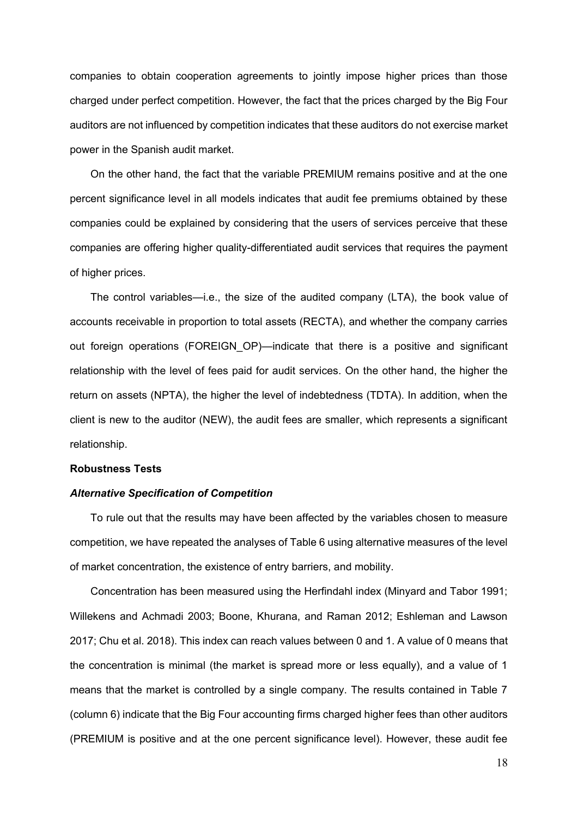companies to obtain cooperation agreements to jointly impose higher prices than those charged under perfect competition. However, the fact that the prices charged by the Big Four auditors are not influenced by competition indicates that these auditors do not exercise market power in the Spanish audit market.

On the other hand, the fact that the variable PREMIUM remains positive and at the one percent significance level in all models indicates that audit fee premiums obtained by these companies could be explained by considering that the users of services perceive that these companies are offering higher quality-differentiated audit services that requires the payment of higher prices.

The control variables—i.e., the size of the audited company (LTA), the book value of accounts receivable in proportion to total assets (RECTA), and whether the company carries out foreign operations (FOREIGN OP)—indicate that there is a positive and significant relationship with the level of fees paid for audit services. On the other hand, the higher the return on assets (NPTA), the higher the level of indebtedness (TDTA). In addition, when the client is new to the auditor (NEW), the audit fees are smaller, which represents a significant relationship.

#### **Robustness Tests**

#### *Alternative Specification of Competition*

To rule out that the results may have been affected by the variables chosen to measure competition, we have repeated the analyses of Table 6 using alternative measures of the level of market concentration, the existence of entry barriers, and mobility.

Concentration has been measured using the Herfindahl index (Minyard and Tabor 1991; Willekens and Achmadi 2003; Boone, Khurana, and Raman 2012; Eshleman and Lawson 2017; Chu et al. 2018). This index can reach values between 0 and 1. A value of 0 means that the concentration is minimal (the market is spread more or less equally), and a value of 1 means that the market is controlled by a single company. The results contained in Table 7 (column 6) indicate that the Big Four accounting firms charged higher fees than other auditors (PREMIUM is positive and at the one percent significance level). However, these audit fee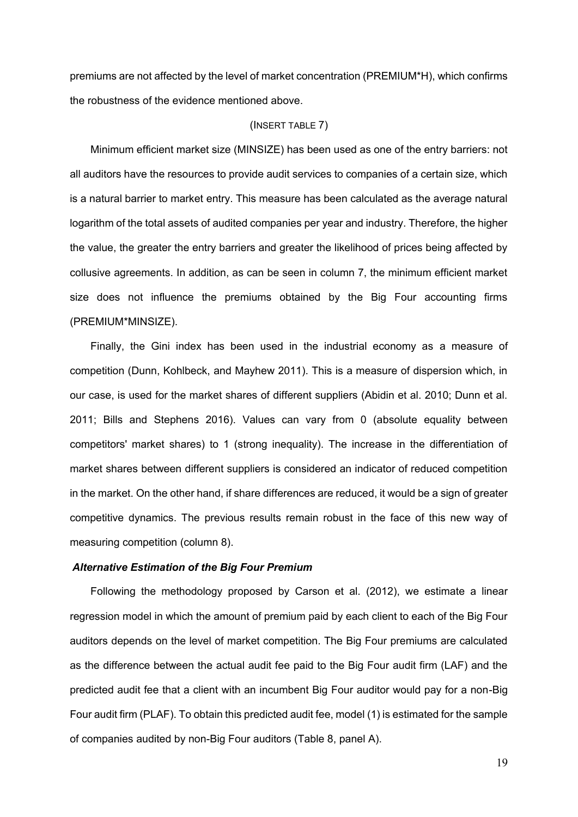premiums are not affected by the level of market concentration (PREMIUM\*H), which confirms the robustness of the evidence mentioned above.

#### (INSERT TABLE 7)

Minimum efficient market size (MINSIZE) has been used as one of the entry barriers: not all auditors have the resources to provide audit services to companies of a certain size, which is a natural barrier to market entry. This measure has been calculated as the average natural logarithm of the total assets of audited companies per year and industry. Therefore, the higher the value, the greater the entry barriers and greater the likelihood of prices being affected by collusive agreements. In addition, as can be seen in column 7, the minimum efficient market size does not influence the premiums obtained by the Big Four accounting firms (PREMIUM\*MINSIZE).

Finally, the Gini index has been used in the industrial economy as a measure of competition (Dunn, Kohlbeck, and Mayhew 2011). This is a measure of dispersion which, in our case, is used for the market shares of different suppliers (Abidin et al. 2010; Dunn et al. 2011; Bills and Stephens 2016). Values can vary from 0 (absolute equality between competitors' market shares) to 1 (strong inequality). The increase in the differentiation of market shares between different suppliers is considered an indicator of reduced competition in the market. On the other hand, if share differences are reduced, it would be a sign of greater competitive dynamics. The previous results remain robust in the face of this new way of measuring competition (column 8).

## *Alternative Estimation of the Big Four Premium*

Following the methodology proposed by Carson et al. (2012), we estimate a linear regression model in which the amount of premium paid by each client to each of the Big Four auditors depends on the level of market competition. The Big Four premiums are calculated as the difference between the actual audit fee paid to the Big Four audit firm (LAF) and the predicted audit fee that a client with an incumbent Big Four auditor would pay for a non-Big Four audit firm (PLAF). To obtain this predicted audit fee, model (1) is estimated for the sample of companies audited by non-Big Four auditors (Table 8, panel A).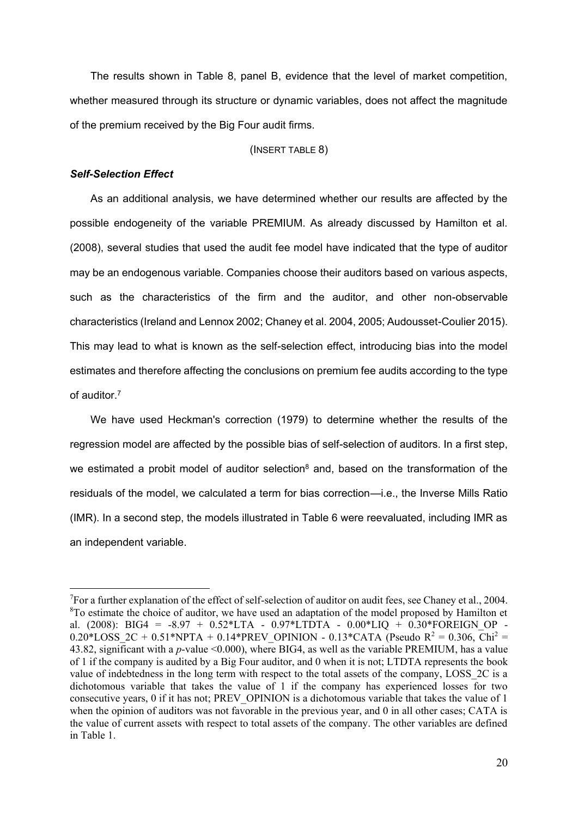The results shown in Table 8, panel B, evidence that the level of market competition, whether measured through its structure or dynamic variables, does not affect the magnitude of the premium received by the Big Four audit firms.

#### (INSERT TABLE 8)

#### *Self-Selection Effect*

1

As an additional analysis, we have determined whether our results are affected by the possible endogeneity of the variable PREMIUM. As already discussed by Hamilton et al. (2008), several studies that used the audit fee model have indicated that the type of auditor may be an endogenous variable. Companies choose their auditors based on various aspects, such as the characteristics of the firm and the auditor, and other non-observable characteristics (Ireland and Lennox 2002; Chaney et al. 2004, 2005; Audousset-Coulier 2015). This may lead to what is known as the self-selection effect, introducing bias into the model estimates and therefore affecting the conclusions on premium fee audits according to the type of auditor.<sup>7</sup>

We have used Heckman's correction (1979) to determine whether the results of the regression model are affected by the possible bias of self-selection of auditors. In a first step, we estimated a probit model of auditor selection<sup>8</sup> and, based on the transformation of the residuals of the model, we calculated a term for bias correction—i.e., the Inverse Mills Ratio (IMR). In a second step, the models illustrated in Table 6 were reevaluated, including IMR as an independent variable.

<sup>&</sup>lt;sup>7</sup>For a further explanation of the effect of self-selection of auditor on audit fees, see Chaney et al., 2004.  $8$ To estimate the choice of auditor, we have used an adaptation of the model proposed by Hamilton et al. (2008): BIG4 = -8.97 +  $0.52*LTA$  -  $0.97*LTDTA$  -  $0.00*LIQ$  +  $0.30*FOREIGN$  OP -0.20\*LOSS 2C + 0.51\*NPTA + 0.14\*PREV\_OPINION - 0.13\*CATA (Pseudo R<sup>2</sup> = 0.306, Chi<sup>2</sup> = 43.82, significant with a *p*-value <0.000), where BIG4, as well as the variable PREMIUM, has a value of 1 if the company is audited by a Big Four auditor, and 0 when it is not; LTDTA represents the book value of indebtedness in the long term with respect to the total assets of the company, LOSS 2C is a dichotomous variable that takes the value of 1 if the company has experienced losses for two consecutive years, 0 if it has not; PREV\_OPINION is a dichotomous variable that takes the value of 1 when the opinion of auditors was not favorable in the previous year, and 0 in all other cases; CATA is the value of current assets with respect to total assets of the company. The other variables are defined in Table 1.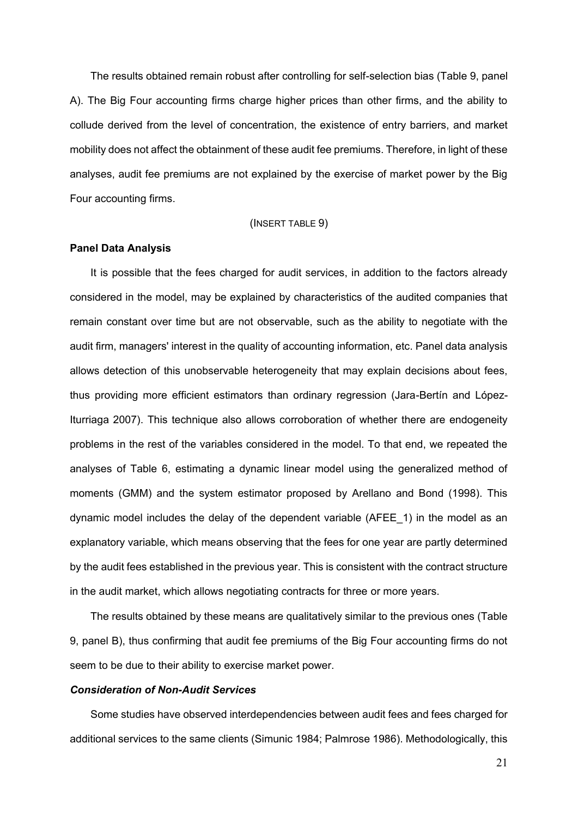The results obtained remain robust after controlling for self-selection bias (Table 9, panel A). The Big Four accounting firms charge higher prices than other firms, and the ability to collude derived from the level of concentration, the existence of entry barriers, and market mobility does not affect the obtainment of these audit fee premiums. Therefore, in light of these analyses, audit fee premiums are not explained by the exercise of market power by the Big Four accounting firms.

#### (INSERT TABLE 9)

#### **Panel Data Analysis**

It is possible that the fees charged for audit services, in addition to the factors already considered in the model, may be explained by characteristics of the audited companies that remain constant over time but are not observable, such as the ability to negotiate with the audit firm, managers' interest in the quality of accounting information, etc. Panel data analysis allows detection of this unobservable heterogeneity that may explain decisions about fees, thus providing more efficient estimators than ordinary regression (Jara-Bertín and López-Iturriaga 2007). This technique also allows corroboration of whether there are endogeneity problems in the rest of the variables considered in the model. To that end, we repeated the analyses of Table 6, estimating a dynamic linear model using the generalized method of moments (GMM) and the system estimator proposed by Arellano and Bond (1998). This dynamic model includes the delay of the dependent variable (AFEE\_1) in the model as an explanatory variable, which means observing that the fees for one year are partly determined by the audit fees established in the previous year. This is consistent with the contract structure in the audit market, which allows negotiating contracts for three or more years.

The results obtained by these means are qualitatively similar to the previous ones (Table 9, panel B), thus confirming that audit fee premiums of the Big Four accounting firms do not seem to be due to their ability to exercise market power.

#### *Consideration of Non-Audit Services*

Some studies have observed interdependencies between audit fees and fees charged for additional services to the same clients (Simunic 1984; Palmrose 1986). Methodologically, this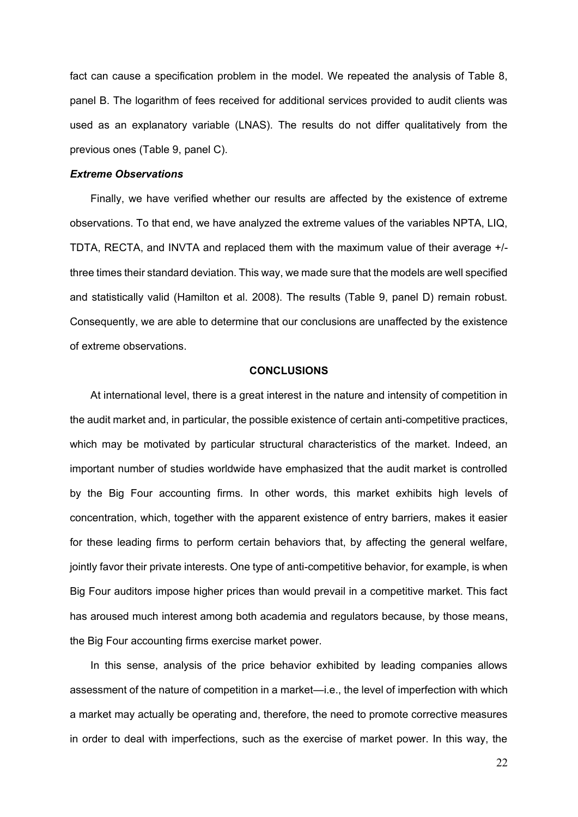fact can cause a specification problem in the model. We repeated the analysis of Table 8, panel B. The logarithm of fees received for additional services provided to audit clients was used as an explanatory variable (LNAS). The results do not differ qualitatively from the previous ones (Table 9, panel C).

#### *Extreme Observations*

Finally, we have verified whether our results are affected by the existence of extreme observations. To that end, we have analyzed the extreme values of the variables NPTA, LIQ, TDTA, RECTA, and INVTA and replaced them with the maximum value of their average +/ three times their standard deviation. This way, we made sure that the models are well specified and statistically valid (Hamilton et al. 2008). The results (Table 9, panel D) remain robust. Consequently, we are able to determine that our conclusions are unaffected by the existence of extreme observations.

#### **CONCLUSIONS**

At international level, there is a great interest in the nature and intensity of competition in the audit market and, in particular, the possible existence of certain anti-competitive practices, which may be motivated by particular structural characteristics of the market. Indeed, an important number of studies worldwide have emphasized that the audit market is controlled by the Big Four accounting firms. In other words, this market exhibits high levels of concentration, which, together with the apparent existence of entry barriers, makes it easier for these leading firms to perform certain behaviors that, by affecting the general welfare, jointly favor their private interests. One type of anti-competitive behavior, for example, is when Big Four auditors impose higher prices than would prevail in a competitive market. This fact has aroused much interest among both academia and regulators because, by those means, the Big Four accounting firms exercise market power.

In this sense, analysis of the price behavior exhibited by leading companies allows assessment of the nature of competition in a market—i.e., the level of imperfection with which a market may actually be operating and, therefore, the need to promote corrective measures in order to deal with imperfections, such as the exercise of market power. In this way, the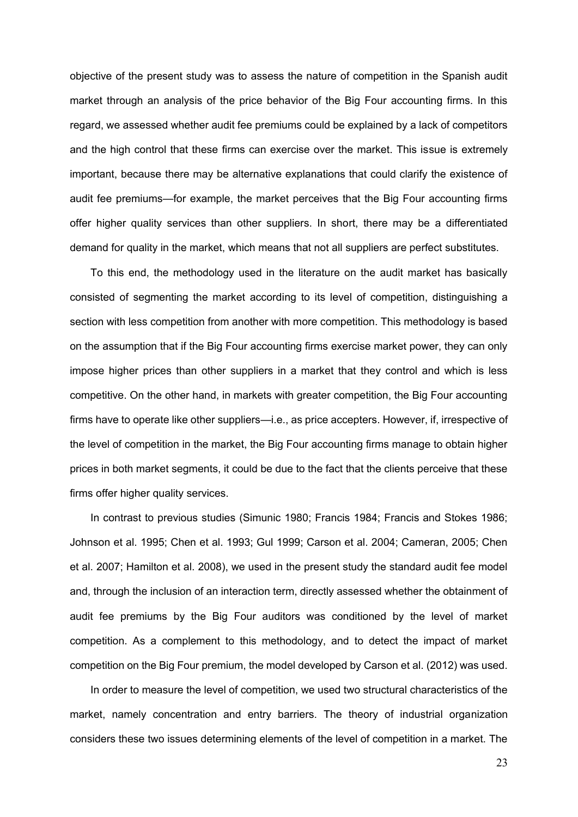objective of the present study was to assess the nature of competition in the Spanish audit market through an analysis of the price behavior of the Big Four accounting firms. In this regard, we assessed whether audit fee premiums could be explained by a lack of competitors and the high control that these firms can exercise over the market. This issue is extremely important, because there may be alternative explanations that could clarify the existence of audit fee premiums—for example, the market perceives that the Big Four accounting firms offer higher quality services than other suppliers. In short, there may be a differentiated demand for quality in the market, which means that not all suppliers are perfect substitutes.

To this end, the methodology used in the literature on the audit market has basically consisted of segmenting the market according to its level of competition, distinguishing a section with less competition from another with more competition. This methodology is based on the assumption that if the Big Four accounting firms exercise market power, they can only impose higher prices than other suppliers in a market that they control and which is less competitive. On the other hand, in markets with greater competition, the Big Four accounting firms have to operate like other suppliers—i.e., as price accepters. However, if, irrespective of the level of competition in the market, the Big Four accounting firms manage to obtain higher prices in both market segments, it could be due to the fact that the clients perceive that these firms offer higher quality services.

In contrast to previous studies (Simunic 1980; Francis 1984; Francis and Stokes 1986; Johnson et al. 1995; Chen et al. 1993; Gul 1999; Carson et al. 2004; Cameran, 2005; Chen et al. 2007; Hamilton et al. 2008), we used in the present study the standard audit fee model and, through the inclusion of an interaction term, directly assessed whether the obtainment of audit fee premiums by the Big Four auditors was conditioned by the level of market competition. As a complement to this methodology, and to detect the impact of market competition on the Big Four premium, the model developed by Carson et al. (2012) was used.

In order to measure the level of competition, we used two structural characteristics of the market, namely concentration and entry barriers. The theory of industrial organization considers these two issues determining elements of the level of competition in a market. The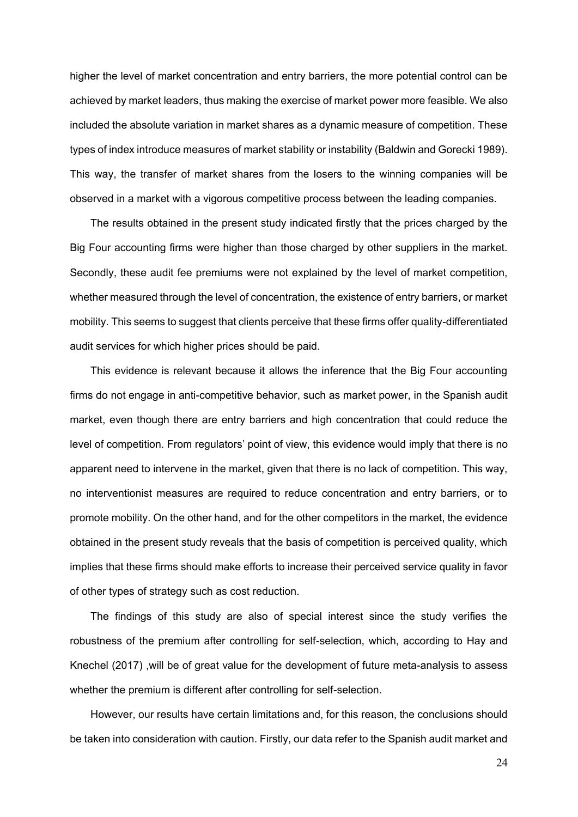higher the level of market concentration and entry barriers, the more potential control can be achieved by market leaders, thus making the exercise of market power more feasible. We also included the absolute variation in market shares as a dynamic measure of competition. These types of index introduce measures of market stability or instability (Baldwin and Gorecki 1989). This way, the transfer of market shares from the losers to the winning companies will be observed in a market with a vigorous competitive process between the leading companies.

The results obtained in the present study indicated firstly that the prices charged by the Big Four accounting firms were higher than those charged by other suppliers in the market. Secondly, these audit fee premiums were not explained by the level of market competition, whether measured through the level of concentration, the existence of entry barriers, or market mobility. This seems to suggest that clients perceive that these firms offer quality-differentiated audit services for which higher prices should be paid.

This evidence is relevant because it allows the inference that the Big Four accounting firms do not engage in anti-competitive behavior, such as market power, in the Spanish audit market, even though there are entry barriers and high concentration that could reduce the level of competition. From regulators' point of view, this evidence would imply that there is no apparent need to intervene in the market, given that there is no lack of competition. This way, no interventionist measures are required to reduce concentration and entry barriers, or to promote mobility. On the other hand, and for the other competitors in the market, the evidence obtained in the present study reveals that the basis of competition is perceived quality, which implies that these firms should make efforts to increase their perceived service quality in favor of other types of strategy such as cost reduction.

The findings of this study are also of special interest since the study verifies the robustness of the premium after controlling for self-selection, which, according to Hay and Knechel (2017) ,will be of great value for the development of future meta-analysis to assess whether the premium is different after controlling for self-selection.

However, our results have certain limitations and, for this reason, the conclusions should be taken into consideration with caution. Firstly, our data refer to the Spanish audit market and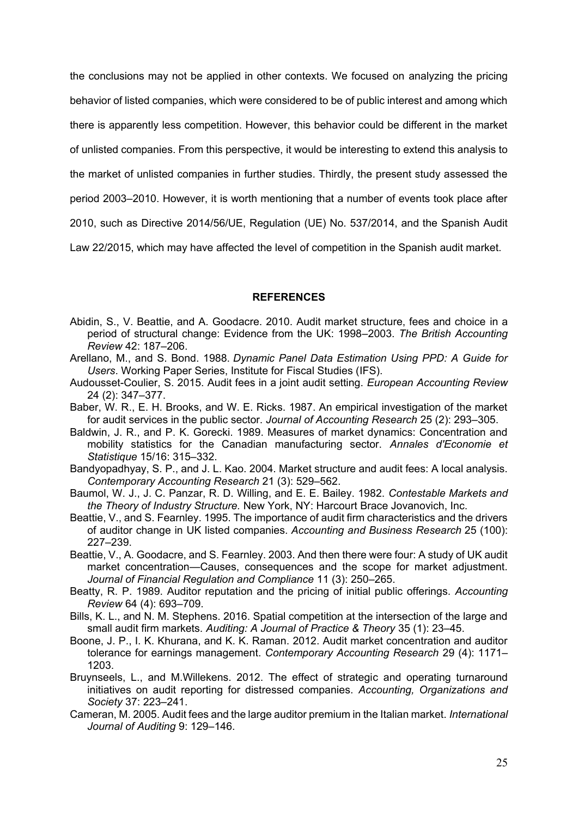the conclusions may not be applied in other contexts. We focused on analyzing the pricing behavior of listed companies, which were considered to be of public interest and among which there is apparently less competition. However, this behavior could be different in the market

of unlisted companies. From this perspective, it would be interesting to extend this analysis to

the market of unlisted companies in further studies. Thirdly, the present study assessed the

period 2003–2010. However, it is worth mentioning that a number of events took place after

2010, such as Directive 2014/56/UE, Regulation (UE) No. 537/2014, and the Spanish Audit

Law 22/2015, which may have affected the level of competition in the Spanish audit market.

### **REFERENCES**

- Abidin, S., V. Beattie, and A. Goodacre. 2010. Audit market structure, fees and choice in a period of structural change: Evidence from the UK: 1998–2003. *The British Accounting Review* 42: 187–206.
- Arellano, M., and S. Bond. 1988. *Dynamic Panel Data Estimation Using PPD: A Guide for Users*. Working Paper Series, Institute for Fiscal Studies (IFS).
- Audousset-Coulier, S. 2015. Audit fees in a joint audit setting. *European Accounting Review* 24 (2): 347–377.
- Baber, W. R., E. H. Brooks, and W. E. Ricks. 1987. An empirical investigation of the market for audit services in the public sector. *Journal of Accounting Research* 25 (2): 293–305.
- Baldwin, J. R., and P. K. Gorecki. 1989. Measures of market dynamics: Concentration and mobility statistics for the Canadian manufacturing sector. *Annales d'Economie et Statistique* 15/16: 315–332.

Bandyopadhyay, S. P., and J. L. Kao. 2004. Market structure and audit fees: A local analysis. *Contemporary Accounting Research* 21 (3): 529–562.

- Baumol, W. J., J. C. Panzar, R. D. Willing, and E. E. Bailey. 1982. *Contestable Markets and the Theory of Industry Structure.* New York, NY: Harcourt Brace Jovanovich, Inc.
- Beattie, V., and S. Fearnley. 1995. The importance of audit firm characteristics and the drivers of auditor change in UK listed companies. *Accounting and Business Research* 25 (100): 227–239.
- Beattie, V., A. Goodacre, and S. Fearnley. 2003. And then there were four: A study of UK audit market concentration—Causes, consequences and the scope for market adjustment. *Journal of Financial Regulation and Compliance* 11 (3): 250–265.
- Beatty, R. P. 1989. Auditor reputation and the pricing of initial public offerings. *Accounting Review* 64 (4): 693–709.
- Bills, K. L., and N. M. Stephens. 2016. Spatial competition at the intersection of the large and small audit firm markets. *Auditing: A Journal of Practice & Theory* 35 (1): 23–45.
- Boone, J. P., I. K. Khurana, and K. K. Raman. 2012. Audit market concentration and auditor tolerance for earnings management. *Contemporary Accounting Research* 29 (4): 1171– 1203.
- Bruynseels, L., and M.Willekens. 2012. The effect of strategic and operating turnaround initiatives on audit reporting for distressed companies. *Accounting, Organizations and Society* 37: 223–241.
- Cameran, M. 2005. Audit fees and the large auditor premium in the Italian market. *International Journal of Auditing* 9: 129–146.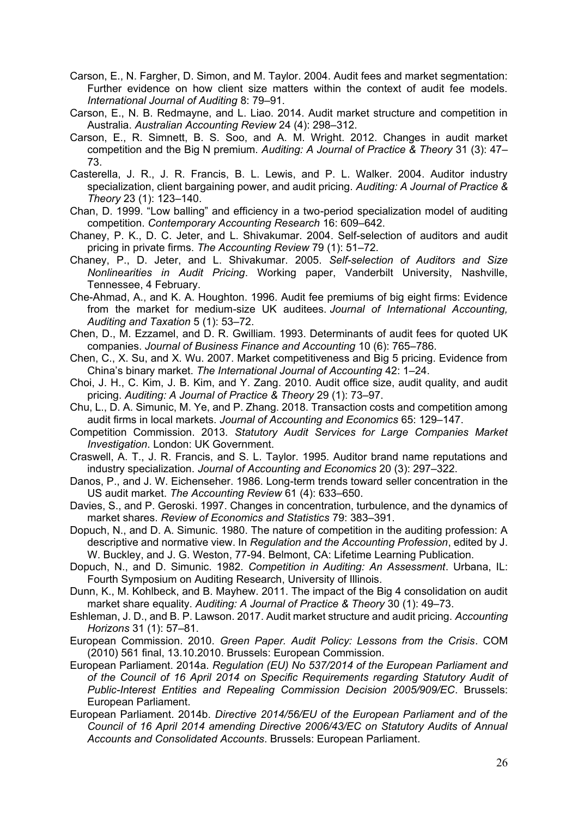- Carson, E., N. Fargher, D. Simon, and M. Taylor. 2004. Audit fees and market segmentation: Further evidence on how client size matters within the context of audit fee models. *International Journal of Auditing* 8: 79–91.
- Carson, E., N. B. Redmayne, and L. Liao. 2014. Audit market structure and competition in Australia. *Australian Accounting Review* 24 (4): 298–312.
- Carson, E., R. Simnett, B. S. Soo, and A. M. Wright. 2012. Changes in audit market competition and the Big N premium. *Auditing: A Journal of Practice & Theory* 31 (3): 47– 73.
- Casterella, J. R., J. R. Francis, B. L. Lewis, and P. L. Walker. 2004. Auditor industry specialization, client bargaining power, and audit pricing. *Auditing: A Journal of Practice & Theory* 23 (1): 123–140.
- Chan, D. 1999. "Low balling" and efficiency in a two-period specialization model of auditing competition. *Contemporary Accounting Research* 16: 609–642.
- Chaney, P. K., D. C. Jeter, and L. Shivakumar. 2004. Self-selection of auditors and audit pricing in private firms. *The Accounting Review* 79 (1): 51–72.
- Chaney, P., D. Jeter, and L. Shivakumar. 2005. *Self-selection of Auditors and Size Nonlinearities in Audit Pricing*. Working paper, Vanderbilt University, Nashville, Tennessee, 4 February.
- Che-Ahmad, A., and K. A. Houghton. 1996. Audit fee premiums of big eight firms: Evidence from the market for medium-size UK auditees. *Journal of International Accounting, Auditing and Taxation* 5 (1): 53–72.
- Chen, D., M. Ezzamel, and D. R. Gwilliam. 1993. Determinants of audit fees for quoted UK companies. *Journal of Business Finance and Accounting* 10 (6): 765–786.
- Chen, C., X. Su, and X. Wu. 2007. Market competitiveness and Big 5 pricing. Evidence from China's binary market. *The International Journal of Accounting* 42: 1–24.
- Choi, J. H., C. Kim, J. B. Kim, and Y. Zang. 2010. Audit office size, audit quality, and audit pricing. *Auditing: A Journal of Practice & Theory* 29 (1): 73–97.
- Chu, L., D. A. Simunic, M. Ye, and P. Zhang. 2018. Transaction costs and competition among audit firms in local markets. *Journal of Accounting and Economics* 65: 129–147.
- Competition Commission. 2013. *Statutory Audit Services for Large Companies Market Investigation*. London: UK Government.
- Craswell, A. T., J. R. Francis, and S. L. Taylor. 1995. Auditor brand name reputations and industry specialization. *Journal of Accounting and Economics* 20 (3): 297–322.
- Danos, P., and J. W. Eichenseher. 1986. Long-term trends toward seller concentration in the US audit market. *The Accounting Review* 61 (4): 633–650.
- Davies, S., and P. Geroski. 1997. Changes in concentration, turbulence, and the dynamics of market shares. *Review of Economics and Statistics* 79: 383–391.
- Dopuch, N., and D. A. Simunic. 1980. The nature of competition in the auditing profession: A descriptive and normative view. In *Regulation and the Accounting Profession*, edited by J. W. Buckley, and J. G. Weston, 77-94. Belmont, CA: Lifetime Learning Publication.
- Dopuch, N., and D. Simunic. 1982. *Competition in Auditing: An Assessment*. Urbana, IL: Fourth Symposium on Auditing Research, University of Illinois.
- Dunn, K., M. Kohlbeck, and B. Mayhew. 2011. The impact of the Big 4 consolidation on audit market share equality. *Auditing: A Journal of Practice & Theory* 30 (1): 49–73.
- Eshleman, J. D., and B. P. Lawson. 2017. Audit market structure and audit pricing. *Accounting Horizons* 31 (1): 57–81.
- European Commission. 2010. *Green Paper. Audit Policy: Lessons from the Crisis*. COM (2010) 561 final, 13.10.2010. Brussels: European Commission.
- European Parliament. 2014a. *Regulation (EU) No 537/2014 of the European Parliament and of the Council of 16 April 2014 on Specific Requirements regarding Statutory Audit of Public-Interest Entities and Repealing Commission Decision 2005/909/EC*. Brussels: European Parliament.
- European Parliament. 2014b. *Directive 2014/56/EU of the European Parliament and of the Council of 16 April 2014 amending Directive 2006/43/EC on Statutory Audits of Annual Accounts and Consolidated Accounts*. Brussels: European Parliament.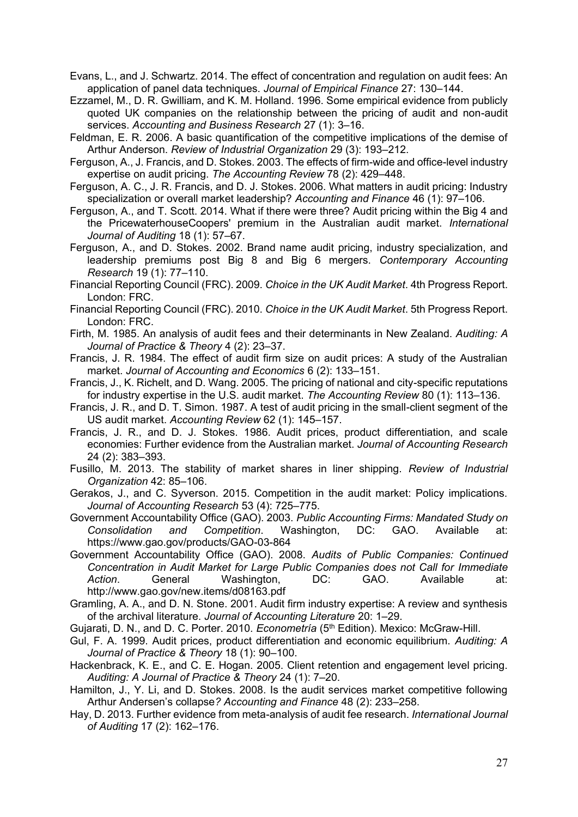Evans, L., and J. Schwartz. 2014. The effect of concentration and regulation on audit fees: An application of panel data techniques. *Journal of Empirical Finance* 27: 130–144.

- Ezzamel, M., D. R. Gwilliam, and K. M. Holland. 1996. Some empirical evidence from publicly quoted UK companies on the relationship between the pricing of audit and non-audit services. *Accounting and Business Research* 27 (1): 3–16.
- Feldman, E. R. 2006. A basic quantification of the competitive implications of the demise of Arthur Anderson. *Review of Industrial Organization* 29 (3): 193–212.
- Ferguson, A., J. Francis, and D. Stokes. 2003. The effects of firm-wide and office-level industry expertise on audit pricing. *The Accounting Review* 78 (2): 429–448.
- Ferguson, A. C., J. R. Francis, and D. J. Stokes. 2006. What matters in audit pricing: Industry specialization or overall market leadership? *Accounting and Finance* 46 (1): 97–106.
- Ferguson, A., and T. Scott. 2014. What if there were three? Audit pricing within the Big 4 and the PricewaterhouseCoopers' premium in the Australian audit market. *International Journal of Auditing* 18 (1): 57–67.
- Ferguson, A., and D. Stokes. 2002. Brand name audit pricing, industry specialization, and leadership premiums post Big 8 and Big 6 mergers. *Contemporary Accounting Research* 19 (1): 77–110.
- Financial Reporting Council (FRC). 2009. *Choice in the UK Audit Market*. 4th Progress Report. London: FRC.
- Financial Reporting Council (FRC). 2010. *Choice in the UK Audit Market*. 5th Progress Report. London: FRC.
- Firth, M. 1985. An analysis of audit fees and their determinants in New Zealand. *Auditing: A Journal of Practice & Theory* 4 (2): 23–37.
- Francis, J. R. 1984. The effect of audit firm size on audit prices: A study of the Australian market. *Journal of Accounting and Economics* 6 (2): 133–151.
- Francis, J., K. Richelt, and D. Wang. 2005. The pricing of national and city-specific reputations for industry expertise in the U.S. audit market. *The Accounting Review* 80 (1): 113–136.
- Francis, J. R., and D. T. Simon. 1987. A test of audit pricing in the small-client segment of the US audit market. *Accounting Review* 62 (1): 145–157.
- Francis, J. R., and D. J. Stokes. 1986. Audit prices, product differentiation, and scale economies: Further evidence from the Australian market. *Journal of Accounting Research*  24 (2): 383–393.
- Fusillo, M. 2013. The stability of market shares in liner shipping. *Review of Industrial Organization* 42: 85–106.
- Gerakos, J., and C. Syverson. 2015. Competition in the audit market: Policy implications. *Journal of Accounting Research* 53 (4): 725–775.
- Government Accountability Office (GAO). 2003. *Public Accounting Firms: Mandated Study on Consolidation and Competition*. Washington, DC: GAO. Available at: https://www.gao.gov/products/GAO-03-864
- Government Accountability Office (GAO). 2008. *Audits of Public Companies: Continued Concentration in Audit Market for Large Public Companies does not Call for Immediate Action*. General Washington, DC: GAO. Available at: http://www.gao.gov/new.items/d08163.pdf
- Gramling, A. A., and D. N. Stone. 2001. Audit firm industry expertise: A review and synthesis of the archival literature. *Journal of Accounting Literature* 20: 1–29.
- Gujarati, D. N., and D. C. Porter. 2010. *Econometría* (5th Edition). Mexico: McGraw-Hill.
- Gul, F. A. 1999. Audit prices, product differentiation and economic equilibrium. *Auditing: A Journal of Practice & Theory* 18 (1): 90–100.
- Hackenbrack, K. E., and C. E. Hogan. 2005. Client retention and engagement level pricing. *Auditing: A Journal of Practice & Theory* 24 (1): 7–20.
- Hamilton, J., Y. Li, and D. Stokes. 2008. Is the audit services market competitive following Arthur Andersen's collapse*? Accounting and Finance* 48 (2): 233–258.
- Hay, D. 2013. Further evidence from meta-analysis of audit fee research. *International Journal of Auditing* 17 (2): 162–176.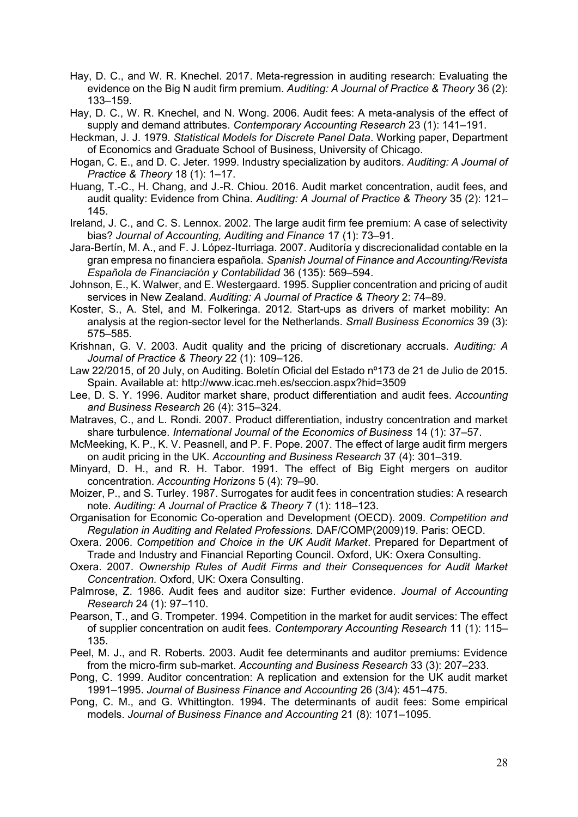- Hay, D. C., and W. R. Knechel. 2017. Meta-regression in auditing research: Evaluating the evidence on the Big N audit firm premium. *Auditing: A Journal of Practice & Theory* 36 (2): 133–159.
- Hay, D. C., W. R. Knechel, and N. Wong. 2006. Audit fees: A meta-analysis of the effect of supply and demand attributes. *Contemporary Accounting Research* 23 (1): 141–191.
- Heckman, J. J. 1979. *Statistical Models for Discrete Panel Data*. Working paper, Department of Economics and Graduate School of Business, University of Chicago.
- Hogan, C. E., and D. C. Jeter. 1999. Industry specialization by auditors. *Auditing: A Journal of Practice & Theory* 18 (1): 1–17.
- Huang, T.-C., H. Chang, and J.-R. Chiou. 2016. Audit market concentration, audit fees, and audit quality: Evidence from China. *Auditing: A Journal of Practice & Theory* 35 (2): 121– 145.
- Ireland, J. C., and C. S. Lennox. 2002. The large audit firm fee premium: A case of selectivity bias? *Journal of Accounting, Auditing and Finance* 17 (1): 73–91.
- Jara-Bertín, M. A., and F. J. López-Iturriaga. 2007. Auditoría y discrecionalidad contable en la gran empresa no financiera española. *Spanish Journal of Finance and Accounting/Revista Española de Financiación y Contabilidad* 36 (135): 569–594.
- Johnson, E., K. Walwer, and E. Westergaard. 1995. Supplier concentration and pricing of audit services in New Zealand. *Auditing: A Journal of Practice & Theory* 2: 74–89.
- Koster, S., A. Stel, and M. Folkeringa. 2012. Start-ups as drivers of market mobility: An analysis at the region-sector level for the Netherlands. *Small Business Economics* 39 (3): 575–585.
- Krishnan, G. V. 2003. Audit quality and the pricing of discretionary accruals. *Auditing: A Journal of Practice & Theory* 22 (1): 109–126.
- Law 22/2015, of 20 July, on Auditing. Boletín Oficial del Estado nº173 de 21 de Julio de 2015. Spain. Available at: http://www.icac.meh.es/seccion.aspx?hid=3509
- Lee, D. S. Y. 1996. Auditor market share, product differentiation and audit fees. *Accounting and Business Research* 26 (4): 315–324.
- Matraves, C., and L. Rondi. 2007. Product differentiation, industry concentration and market share turbulence. *International Journal of the Economics of Business* 14 (1): 37–57.
- McMeeking, K. P., K. V. Peasnell, and P. F. Pope. 2007. The effect of large audit firm mergers on audit pricing in the UK. *Accounting and Business Research* 37 (4): 301–319.
- Minyard, D. H., and R. H. Tabor. 1991. The effect of Big Eight mergers on auditor concentration. *Accounting Horizons* 5 (4): 79–90.
- Moizer, P., and S. Turley. 1987. Surrogates for audit fees in concentration studies: A research note. *Auditing: A Journal of Practice & Theory* 7 (1): 118–123.
- Organisation for Economic Co-operation and Development (OECD). 2009. *Competition and Regulation in Auditing and Related Professions.* DAF/COMP(2009)19. Paris: OECD.
- Oxera. 2006. *Competition and Choice in the UK Audit Market*. Prepared for Department of Trade and Industry and Financial Reporting Council. Oxford, UK: Oxera Consulting.
- Oxera. 2007. *Ownership Rules of Audit Firms and their Consequences for Audit Market Concentration.* Oxford, UK: Oxera Consulting.
- Palmrose, Z. 1986. Audit fees and auditor size: Further evidence. *Journal of Accounting Research* 24 (1): 97–110.
- Pearson, T., and G. Trompeter. 1994. Competition in the market for audit services: The effect of supplier concentration on audit fees. *Contemporary Accounting Research* 11 (1): 115– 135.
- Peel, M. J., and R. Roberts. 2003. Audit fee determinants and auditor premiums: Evidence from the micro-firm sub-market. *Accounting and Business Research* 33 (3): 207–233.
- Pong, C. 1999. Auditor concentration: A replication and extension for the UK audit market 1991–1995. *Journal of Business Finance and Accounting* 26 (3/4): 451–475.
- Pong, C. M., and G. Whittington. 1994. The determinants of audit fees: Some empirical models. *Journal of Business Finance and Accounting* 21 (8): 1071–1095.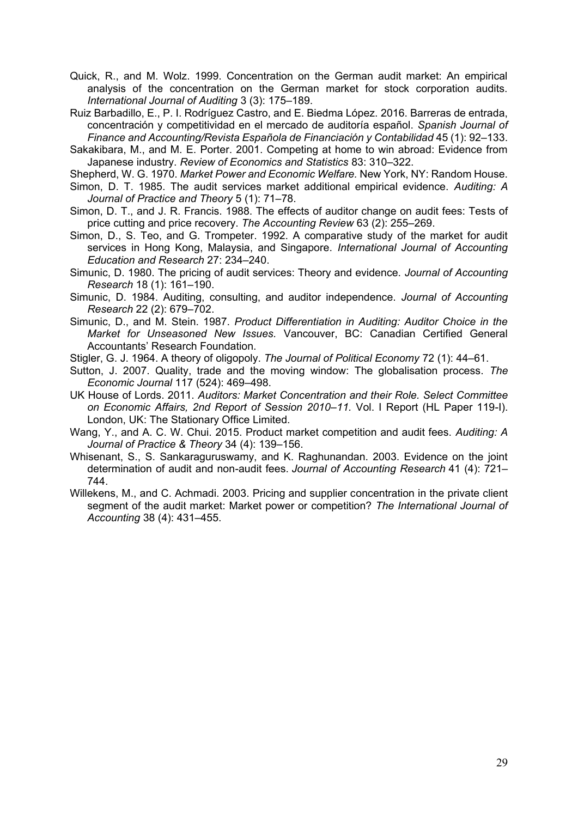- Quick, R., and M. Wolz. 1999. Concentration on the German audit market: An empirical analysis of the concentration on the German market for stock corporation audits. *International Journal of Auditing* 3 (3): 175–189.
- Ruiz Barbadillo, E., P. I. Rodríguez Castro, and E. Biedma López. 2016. Barreras de entrada, concentración y competitividad en el mercado de auditoría español. *Spanish Journal of Finance and Accounting/Revista Española de Financiación y Contabilidad* 45 (1): 92–133.
- Sakakibara, M., and M. E. Porter. 2001. Competing at home to win abroad: Evidence from Japanese industry. *Review of Economics and Statistics* 83: 310–322.
- Shepherd, W. G. 1970. *Market Power and Economic Welfare.* New York, NY: Random House.
- Simon, D. T. 1985. The audit services market additional empirical evidence. *Auditing: A Journal of Practice and Theory* 5 (1): 71–78.
- Simon, D. T., and J. R. Francis. 1988. The effects of auditor change on audit fees: Tests of price cutting and price recovery. *The Accounting Review* 63 (2): 255–269.
- Simon, D., S. Teo, and G. Trompeter. 1992. A comparative study of the market for audit services in Hong Kong, Malaysia, and Singapore. *International Journal of Accounting Education and Research* 27: 234–240.
- Simunic, D. 1980. The pricing of audit services: Theory and evidence. *Journal of Accounting Research* 18 (1): 161–190.
- Simunic, D. 1984. Auditing, consulting, and auditor independence. *Journal of Accounting Research* 22 (2): 679–702.
- Simunic, D., and M. Stein. 1987. *Product Differentiation in Auditing: Auditor Choice in the Market for Unseasoned New Issues.* Vancouver, BC: Canadian Certified General Accountants' Research Foundation.
- Stigler, G. J. 1964. A theory of oligopoly. *The Journal of Political Economy* 72 (1): 44–61.
- Sutton, J. 2007. Quality, trade and the moving window: The globalisation process. *The Economic Journal* 117 (524): 469–498.
- UK House of Lords. 2011. *Auditors: Market Concentration and their Role. Select Committee on Economic Affairs, 2nd Report of Session 2010–11.* Vol. I Report (HL Paper 119-I). London, UK: The Stationary Office Limited.
- Wang, Y., and A. C. W. Chui. 2015. Product market competition and audit fees. *Auditing: A Journal of Practice & Theory* 34 (4): 139–156.
- Whisenant, S., S. Sankaraguruswamy, and K. Raghunandan. 2003. Evidence on the joint determination of audit and non-audit fees. *Journal of Accounting Research* 41 (4): 721– 744.
- Willekens, M., and C. Achmadi. 2003. Pricing and supplier concentration in the private client segment of the audit market: Market power or competition? *The International Journal of Accounting* 38 (4): 431–455.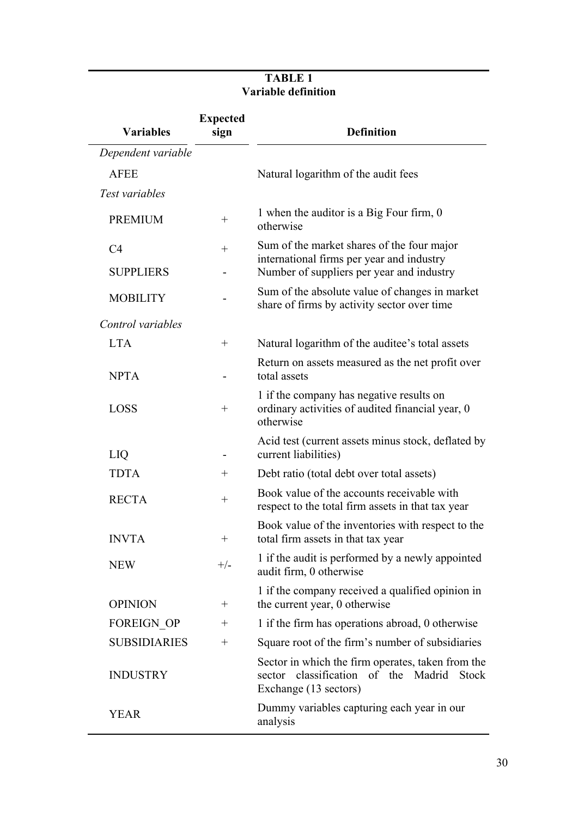## **TABLE 1 Variable definition**

| <b>Variables</b>      | <b>Expected</b><br>sign | <b>Definition</b>                                                                                                             |  |  |  |  |  |  |
|-----------------------|-------------------------|-------------------------------------------------------------------------------------------------------------------------------|--|--|--|--|--|--|
| Dependent variable    |                         |                                                                                                                               |  |  |  |  |  |  |
| <b>AFEE</b>           |                         | Natural logarithm of the audit fees                                                                                           |  |  |  |  |  |  |
| Test variables        |                         |                                                                                                                               |  |  |  |  |  |  |
| <b>PREMIUM</b>        | $^+$                    | 1 when the auditor is a Big Four firm, 0<br>otherwise                                                                         |  |  |  |  |  |  |
| C <sub>4</sub>        | $^{+}$                  | Sum of the market shares of the four major                                                                                    |  |  |  |  |  |  |
| <b>SUPPLIERS</b>      |                         | international firms per year and industry<br>Number of suppliers per year and industry                                        |  |  |  |  |  |  |
| <b>MOBILITY</b>       |                         | Sum of the absolute value of changes in market<br>share of firms by activity sector over time                                 |  |  |  |  |  |  |
| Control variables     |                         |                                                                                                                               |  |  |  |  |  |  |
| <b>LTA</b>            | $^{+}$                  | Natural logarithm of the auditee's total assets                                                                               |  |  |  |  |  |  |
| <b>NPTA</b>           |                         | Return on assets measured as the net profit over<br>total assets                                                              |  |  |  |  |  |  |
| <b>LOSS</b><br>$^{+}$ |                         | 1 if the company has negative results on<br>ordinary activities of audited financial year, 0<br>otherwise                     |  |  |  |  |  |  |
| LIQ                   |                         | Acid test (current assets minus stock, deflated by<br>current liabilities)                                                    |  |  |  |  |  |  |
| <b>TDTA</b>           | $^{+}$                  | Debt ratio (total debt over total assets)                                                                                     |  |  |  |  |  |  |
| <b>RECTA</b>          | $^{+}$                  | Book value of the accounts receivable with<br>respect to the total firm assets in that tax year                               |  |  |  |  |  |  |
| <b>INVTA</b>          | $^{+}$                  | Book value of the inventories with respect to the<br>total firm assets in that tax year                                       |  |  |  |  |  |  |
| <b>NEW</b>            | $+/-$                   | 1 if the audit is performed by a newly appointed<br>audit firm, 0 otherwise                                                   |  |  |  |  |  |  |
| <b>OPINION</b>        | $^+$                    | 1 if the company received a qualified opinion in<br>the current year, 0 otherwise                                             |  |  |  |  |  |  |
| <b>FOREIGN OP</b>     | $^{+}$                  | 1 if the firm has operations abroad, 0 otherwise                                                                              |  |  |  |  |  |  |
| <b>SUBSIDIARIES</b>   | $^{+}$                  | Square root of the firm's number of subsidiaries                                                                              |  |  |  |  |  |  |
| <b>INDUSTRY</b>       |                         | Sector in which the firm operates, taken from the<br>classification of the Madrid<br>Stock<br>sector<br>Exchange (13 sectors) |  |  |  |  |  |  |
| <b>YEAR</b>           |                         | Dummy variables capturing each year in our<br>analysis                                                                        |  |  |  |  |  |  |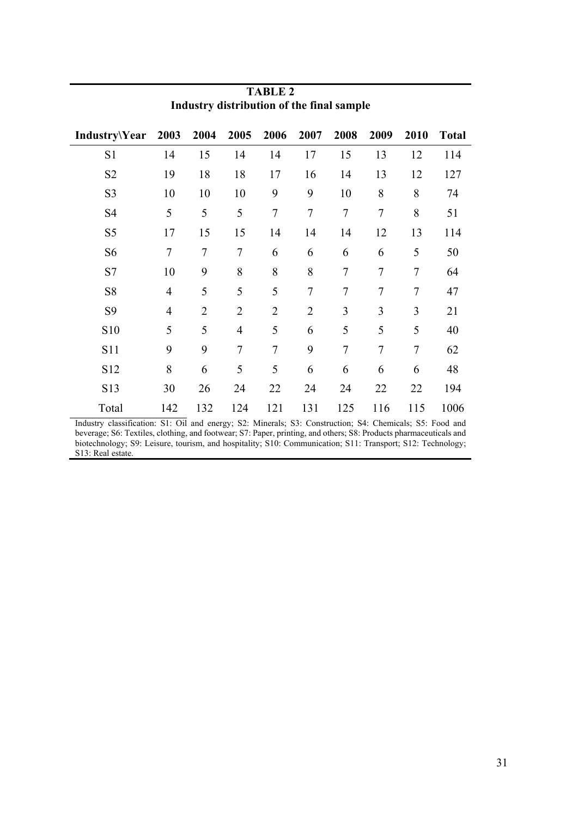| Industry\Year  | 2003           | 2004           | 2005           | 2006           | 2007           | 2008           | 2009           | 2010           | <b>Total</b> |
|----------------|----------------|----------------|----------------|----------------|----------------|----------------|----------------|----------------|--------------|
| S1             | 14             | 15             | 14             | 14             | 17             | 15             | 13             | 12             | 114          |
| S <sub>2</sub> | 19             | 18             | 18             | 17             | 16             | 14             | 13             | 12             | 127          |
| S <sub>3</sub> | 10             | 10             | 10             | 9              | 9              | 10             | 8              | 8              | 74           |
| S <sub>4</sub> | 5              | 5              | 5              | $\overline{7}$ | $\overline{7}$ | $\overline{7}$ | $\overline{7}$ | 8              | 51           |
| S <sub>5</sub> | 17             | 15             | 15             | 14             | 14             | 14             | 12             | 13             | 114          |
| S <sub>6</sub> | 7              | 7              | $\overline{7}$ | 6              | 6              | 6              | 6              | 5              | 50           |
| S7             | 10             | 9              | 8              | 8              | 8              | $\tau$         | 7              | 7              | 64           |
| S <sub>8</sub> | $\overline{4}$ | 5              | 5              | 5              | $\overline{7}$ | 7              | 7              | 7              | 47           |
| S <sub>9</sub> | $\overline{4}$ | $\overline{2}$ | $\overline{2}$ | $\overline{2}$ | $\overline{2}$ | 3              | 3              | $\overline{3}$ | 21           |
| S10            | 5              | 5              | $\overline{4}$ | 5              | 6              | 5              | 5              | 5              | 40           |
| S11            | 9              | 9              | $\overline{7}$ | 7              | 9              | 7              | 7              | $\overline{7}$ | 62           |
| S12            | 8              | 6              | 5              | 5              | 6              | 6              | 6              | 6              | 48           |
| S13            | 30             | 26             | 24             | 22             | 24             | 24             | 22             | 22             | 194          |
| Total          | 142            | 132            | 124            | 121            | 131            | 125            | 116            | 115            | 1006         |

## **TABLE 2 Industry distribution of the final sample**

Industry classification: S1: Oil and energy; S2: Minerals; S3: Construction; S4: Chemicals; S5: Food and beverage; S6: Textiles, clothing, and footwear; S7: Paper, printing, and others; S8: Products pharmaceuticals and biotechnology; S9: Leisure, tourism, and hospitality; S10: Communication; S11: Transport; S12: Technology; S13: Real estate.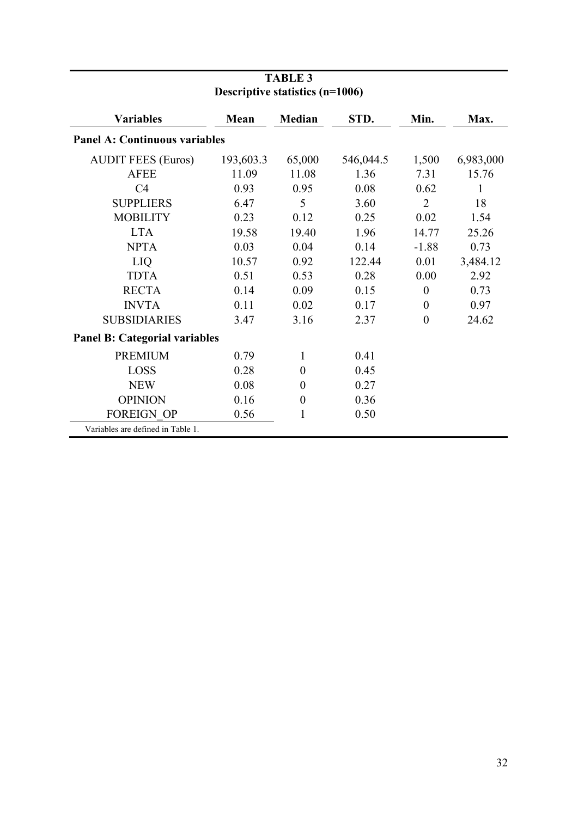|                                      | Descriptive statistics (II-T000) |                  |           |                |           |
|--------------------------------------|----------------------------------|------------------|-----------|----------------|-----------|
| <b>Variables</b>                     | Mean                             | <b>Median</b>    | STD.      | Min.           | Max.      |
| <b>Panel A: Continuous variables</b> |                                  |                  |           |                |           |
| <b>AUDIT FEES (Euros)</b>            | 193,603.3                        | 65,000           | 546,044.5 | 1,500          | 6,983,000 |
| <b>AFEE</b>                          | 11.09                            | 11.08            | 1.36      | 7.31           | 15.76     |
| C <sub>4</sub>                       | 0.93                             | 0.95             | 0.08      | 0.62           | 1         |
| <b>SUPPLIERS</b>                     | 6.47                             | 5                | 3.60      | $\overline{2}$ | 18        |
| <b>MOBILITY</b>                      | 0.23                             | 0.12             | 0.25      | 0.02           | 1.54      |
| <b>LTA</b>                           | 19.58                            | 19.40            | 1.96      | 14.77          | 25.26     |
| <b>NPTA</b>                          | 0.03                             | 0.04             | 0.14      | $-1.88$        | 0.73      |
| <b>LIQ</b>                           | 10.57                            | 0.92             | 122.44    | 0.01           | 3,484.12  |
| <b>TDTA</b>                          | 0.51                             | 0.53             | 0.28      | 0.00           | 2.92      |
| <b>RECTA</b>                         | 0.14                             | 0.09             | 0.15      | $\theta$       | 0.73      |
| <b>INVTA</b>                         | 0.11                             | 0.02             | 0.17      | $\theta$       | 0.97      |
| <b>SUBSIDIARIES</b>                  | 3.47                             | 3.16             | 2.37      | $\theta$       | 24.62     |
| <b>Panel B: Categorial variables</b> |                                  |                  |           |                |           |
| <b>PREMIUM</b>                       | 0.79                             | 1                | 0.41      |                |           |
| <b>LOSS</b>                          | 0.28                             | $\theta$         | 0.45      |                |           |
| <b>NEW</b>                           | 0.08                             | $\boldsymbol{0}$ | 0.27      |                |           |
| <b>OPINION</b>                       | 0.16                             | $\boldsymbol{0}$ | 0.36      |                |           |
| <b>FOREIGN OP</b>                    | 0.56                             | 1                | 0.50      |                |           |
| Variables are defined in Table 1.    |                                  |                  |           |                |           |

## **TABLE 3 Descriptive statistics (n=1006)**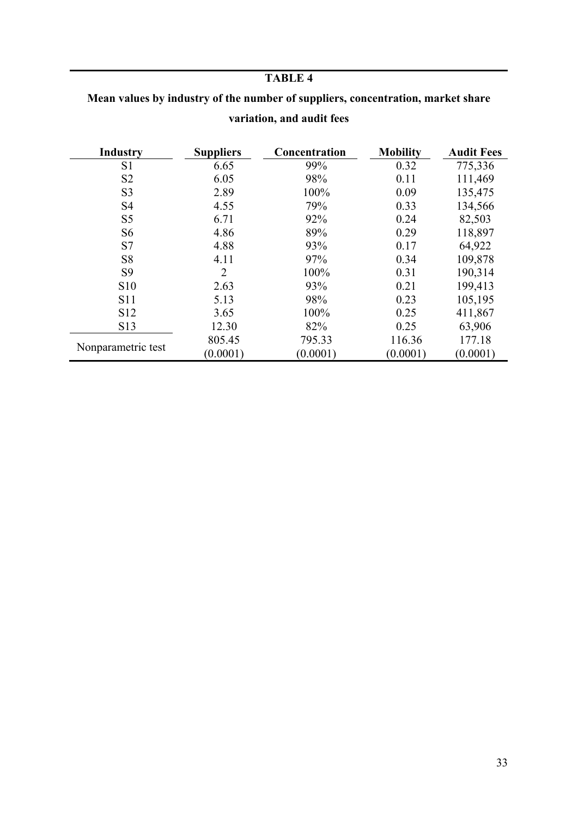## **TABLE 4**

| Mean values by industry of the number of suppliers, concentration, market share |
|---------------------------------------------------------------------------------|
| variation, and audit fees                                                       |

| <b>Industry</b>    | <b>Suppliers</b> | Concentration | <b>Mobility</b> | <b>Audit Fees</b> |
|--------------------|------------------|---------------|-----------------|-------------------|
| S1                 | 6.65             | 99%           | 0.32            | 775,336           |
| S <sub>2</sub>     | 6.05             | 98%           | 0.11            | 111,469           |
| S <sub>3</sub>     | 2.89             | 100%          | 0.09            | 135,475           |
| S <sub>4</sub>     | 4.55             | 79%           | 0.33            | 134,566           |
| S <sub>5</sub>     | 6.71             | 92%           | 0.24            | 82,503            |
| S6                 | 4.86             | 89%           | 0.29            | 118,897           |
| S7                 | 4.88             | 93%           | 0.17            | 64,922            |
| S <sub>8</sub>     | 4.11             | 97%           | 0.34            | 109,878           |
| S <sub>9</sub>     | $\overline{2}$   | 100%          | 0.31            | 190,314           |
| <b>S10</b>         | 2.63             | 93%           | 0.21            | 199,413           |
| <b>S11</b>         | 5.13             | 98%           | 0.23            | 105,195           |
| S <sub>12</sub>    | 3.65             | 100%          | 0.25            | 411,867           |
| S13                | 12.30            | 82%           | 0.25            | 63,906            |
| Nonparametric test | 805.45           | 795.33        | 116.36          | 177.18            |
|                    | (0.0001)         | (0.0001)      | (0.0001)        | (0.0001)          |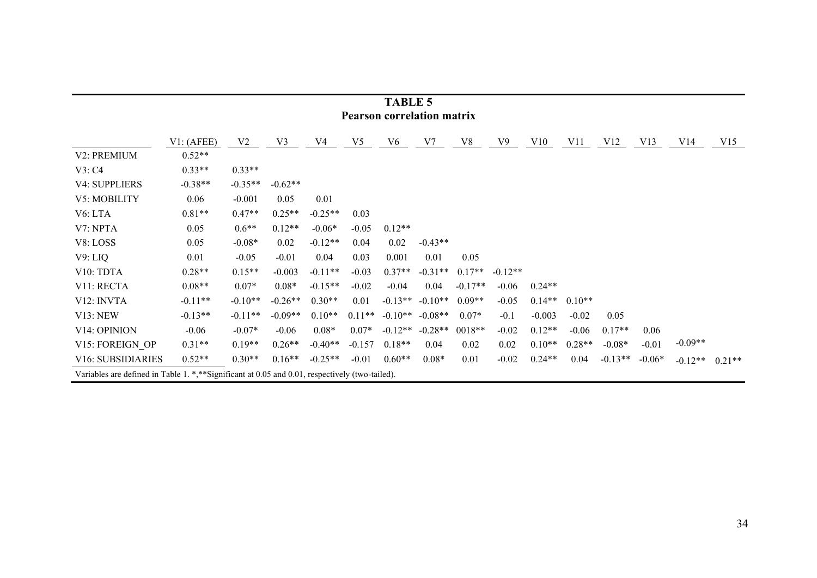|                                                                                                | тарыл э<br><b>Pearson correlation matrix</b> |                |           |           |                |                |           |           |           |          |          |           |          |           |          |
|------------------------------------------------------------------------------------------------|----------------------------------------------|----------------|-----------|-----------|----------------|----------------|-----------|-----------|-----------|----------|----------|-----------|----------|-----------|----------|
|                                                                                                | VI: (AFEE)                                   | V <sub>2</sub> | V3        | V4        | V <sub>5</sub> | V <sub>6</sub> | V7        | V8        | V9        | V10      | V11      | V12       | V13      | V14       | V15      |
| V2: PREMIUM                                                                                    | $0.52**$                                     |                |           |           |                |                |           |           |           |          |          |           |          |           |          |
| V3: C4                                                                                         | $0.33**$                                     | $0.33**$       |           |           |                |                |           |           |           |          |          |           |          |           |          |
| <b>V4: SUPPLIERS</b>                                                                           | $-0.38**$                                    | $-0.35**$      | $-0.62**$ |           |                |                |           |           |           |          |          |           |          |           |          |
| V5: MOBILITY                                                                                   | 0.06                                         | $-0.001$       | 0.05      | 0.01      |                |                |           |           |           |          |          |           |          |           |          |
| V <sub>6</sub> : LTA                                                                           | $0.81**$                                     | $0.47**$       | $0.25**$  | $-0.25**$ | 0.03           |                |           |           |           |          |          |           |          |           |          |
| V7: NPTA                                                                                       | 0.05                                         | $0.6**$        | $0.12**$  | $-0.06*$  | $-0.05$        | $0.12**$       |           |           |           |          |          |           |          |           |          |
| V8: LOSS                                                                                       | 0.05                                         | $-0.08*$       | 0.02      | $-0.12**$ | 0.04           | 0.02           | $-0.43**$ |           |           |          |          |           |          |           |          |
| V9: LIQ                                                                                        | 0.01                                         | $-0.05$        | $-0.01$   | 0.04      | 0.03           | 0.001          | 0.01      | 0.05      |           |          |          |           |          |           |          |
| V10: TDTA                                                                                      | $0.28**$                                     | $0.15**$       | $-0.003$  | $-0.11**$ | $-0.03$        | $0.37**$       | $-0.31**$ | $0.17**$  | $-0.12**$ |          |          |           |          |           |          |
| V11: RECTA                                                                                     | $0.08**$                                     | $0.07*$        | $0.08*$   | $-0.15**$ | $-0.02$        | $-0.04$        | 0.04      | $-0.17**$ | $-0.06$   | $0.24**$ |          |           |          |           |          |
| V <sub>12</sub> : INVTA                                                                        | $-0.11**$                                    | $-0.10**$      | $-0.26**$ | $0.30**$  | 0.01           | $-0.13**$      | $-0.10**$ | $0.09**$  | $-0.05$   | $0.14**$ | $0.10**$ |           |          |           |          |
| V13: NEW                                                                                       | $-0.13**$                                    | $-0.11**$      | $-0.09**$ | $0.10**$  | $0.11**$       | $-0.10**$      | $-0.08**$ | $0.07*$   | $-0.1$    | $-0.003$ | $-0.02$  | 0.05      |          |           |          |
| V <sub>14</sub> : OPINION                                                                      | $-0.06$                                      | $-0.07*$       | $-0.06$   | $0.08*$   | $0.07*$        | $-0.12**$      | $-0.28**$ | $0018**$  | $-0.02$   | $0.12**$ | $-0.06$  | $0.17**$  | 0.06     |           |          |
| V15: FOREIGN OP                                                                                | $0.31**$                                     | $0.19**$       | $0.26**$  | $-0.40**$ | $-0.157$       | $0.18**$       | 0.04      | 0.02      | 0.02      | $0.10**$ | $0.28**$ | $-0.08*$  | $-0.01$  | $-0.09**$ |          |
| <b>V16: SUBSIDIARIES</b>                                                                       | $0.52**$                                     | $0.30**$       | $0.16**$  | $-0.25**$ | $-0.01$        | $0.60**$       | $0.08*$   | 0.01      | $-0.02$   | $0.24**$ | 0.04     | $-0.13**$ | $-0.06*$ | $-0.12**$ | $0.21**$ |
| Variables are defined in Table 1. *,**Significant at 0.05 and 0.01, respectively (two-tailed). |                                              |                |           |           |                |                |           |           |           |          |          |           |          |           |          |

| <b>TABLE 5</b>            |  |
|---------------------------|--|
| earson correlation matriː |  |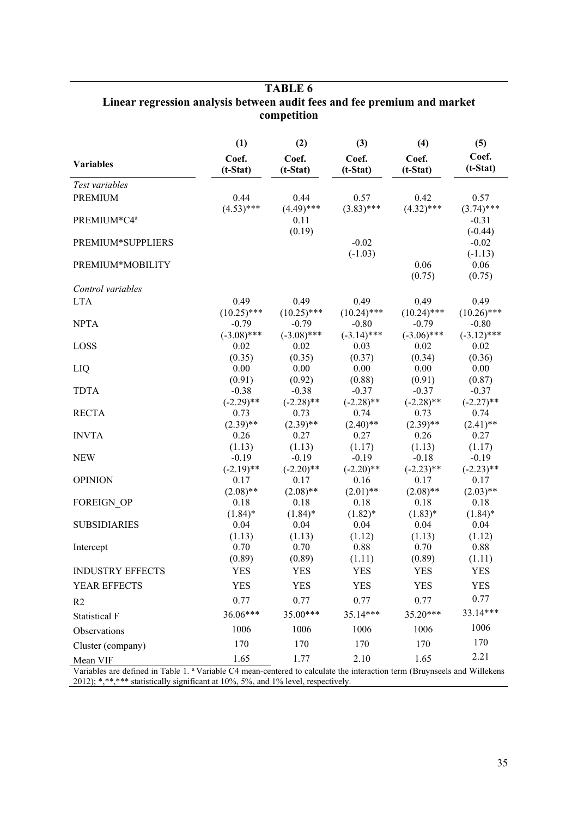|                         | (1)                 | (2)                 | (3)                 | (4)                 | (5)                 |
|-------------------------|---------------------|---------------------|---------------------|---------------------|---------------------|
| <b>Variables</b>        | Coef.<br>$(t-Stat)$ | Coef.<br>$(t-Stat)$ | Coef.<br>$(t-Stat)$ | Coef.<br>$(t-Stat)$ | Coef.<br>$(t-Stat)$ |
| Test variables          |                     |                     |                     |                     |                     |
| <b>PREMIUM</b>          | 0.44                | 0.44                | 0.57                | 0.42                | 0.57                |
|                         | $(4.53)$ ***        | $(4.49)$ ***        | $(3.83)$ ***        | $(4.32)$ ***        | $(3.74)$ ***        |
| PREMIUM*C4ª             |                     | 0.11                |                     |                     | $-0.31$             |
|                         |                     | (0.19)              |                     |                     | $(-0.44)$           |
| PREMIUM*SUPPLIERS       |                     |                     | $-0.02$             |                     | $-0.02$             |
|                         |                     |                     | $(-1.03)$           |                     | $(-1.13)$           |
| PREMIUM*MOBILITY        |                     |                     |                     | 0.06                | 0.06                |
|                         |                     |                     |                     | (0.75)              | (0.75)              |
| Control variables       |                     |                     |                     |                     |                     |
| <b>LTA</b>              | 0.49                | 0.49                | 0.49                | 0.49                | 0.49                |
|                         | $(10.25)$ ***       | $(10.25)$ ***       | $(10.24)$ ***       | $(10.24)$ ***       | $(10.26)$ ***       |
| <b>NPTA</b>             | $-0.79$             | $-0.79$             | $-0.80$             | $-0.79$             | $-0.80$             |
|                         | $(-3.08)$ ***       | $(-3.08)$ ***       | $(-3.14)$ ***       | $(-3.06)$ ***       | $(-3.12)$ ***       |
| LOSS                    | 0.02                | 0.02                | 0.03                | 0.02                | 0.02                |
|                         | (0.35)<br>0.00      | (0.35)<br>0.00      | (0.37)<br>0.00      | (0.34)<br>0.00      | (0.36)<br>0.00      |
| LIQ                     | (0.91)              | (0.92)              | (0.88)              | (0.91)              | (0.87)              |
| <b>TDTA</b>             | $-0.38$             | $-0.38$             | $-0.37$             | $-0.37$             | $-0.37$             |
|                         | $(-2.29)$ **        | $(-2.28)$ **        | $(-2.28)$ **        | $(-2.28)$ **        | $(-2.27)$ **        |
| <b>RECTA</b>            | 0.73                | 0.73                | 0.74                | 0.73                | 0.74                |
|                         | $(2.39)$ **         | $(2.39)$ **         | $(2.40)$ **         | $(2.39)$ **         | $(2.41)$ **         |
| <b>INVTA</b>            | 0.26                | 0.27                | 0.27                | 0.26                | 0.27                |
|                         | (1.13)              | (1.13)              | (1.17)              | (1.13)              | (1.17)              |
| <b>NEW</b>              | $-0.19$             | $-0.19$             | $-0.19$             | $-0.18$             | $-0.19$             |
|                         | $(-2.19)$ **        | $(-2.20)$ **        | $(-2.20)$ **        | $(-2.23)$ **        | $(-2.23)$ **        |
| <b>OPINION</b>          | 0.17                | 0.17                | 0.16                | 0.17                | 0.17                |
|                         | $(2.08)$ **         | $(2.08)$ **         | $(2.01)$ **         | $(2.08)$ **         | $(2.03)$ **         |
| FOREIGN OP              | 0.18                | 0.18                | 0.18                | 0.18                | 0.18                |
|                         | $(1.84)$ *          | $(1.84)$ *          | $(1.82)^*$          | $(1.83)^*$          | $(1.84)$ *          |
| <b>SUBSIDIARIES</b>     | 0.04                | 0.04                | 0.04                | 0.04                | 0.04                |
|                         | (1.13)<br>0.70      | (1.13)<br>0.70      | (1.12)<br>0.88      | (1.13)<br>0.70      | (1.12)<br>0.88      |
| Intercept               | (0.89)              | (0.89)              | (1.11)              | (0.89)              | (1.11)              |
| <b>INDUSTRY EFFECTS</b> | <b>YES</b>          | <b>YES</b>          | <b>YES</b>          | <b>YES</b>          | <b>YES</b>          |
|                         |                     |                     |                     |                     |                     |
| YEAR EFFECTS            | <b>YES</b>          | <b>YES</b>          | <b>YES</b>          | <b>YES</b>          | <b>YES</b>          |
| R <sub>2</sub>          | 0.77                | 0.77                | 0.77                | 0.77                | 0.77                |
| Statistical F           | 36.06***            | 35.00***            | $35.14***$          | $35.20***$          | 33.14***            |
| Observations            | 1006                | 1006                | 1006                | 1006                | 1006                |
| Cluster (company)       | 170                 | 170                 | 170                 | 170                 | 170                 |
| Mean VIF                | 1.65                | 1.77                | 2.10                | 1.65                | 2.21                |

## **TABLE 6 Linear regression analysis between audit fees and fee premium and market competition**

Variables are defined in Table 1. <sup>a</sup>Variable C4 mean-centered to calculate the interaction term (Bruynseels and Willekens 2012); \*,\*\*,\*\*\* statistically significant at 10%, 5%, and 1% level, respectively.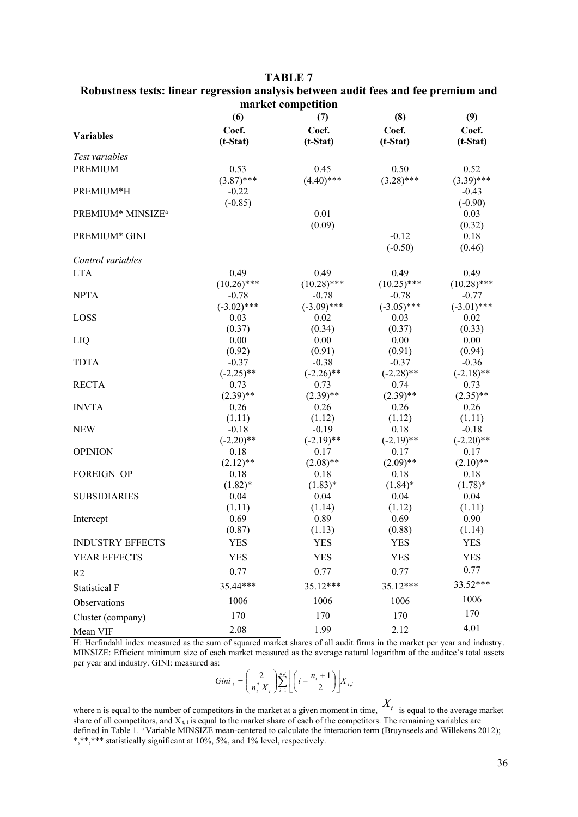|                               | Robustness tests: linear regression analysis between audit fees and fee premium and<br>market competition |                    |                    |                    |  |  |  |  |  |  |  |  |
|-------------------------------|-----------------------------------------------------------------------------------------------------------|--------------------|--------------------|--------------------|--|--|--|--|--|--|--|--|
|                               | (6)                                                                                                       | (7)                | (8)                | (9)                |  |  |  |  |  |  |  |  |
|                               | Coef.                                                                                                     | Coef.              | Coef.              | Coef.              |  |  |  |  |  |  |  |  |
| <b>Variables</b>              | $(t-Stat)$                                                                                                | $(t-Stat)$         | $(t-Stat)$         | $(t-Stat)$         |  |  |  |  |  |  |  |  |
| Test variables                |                                                                                                           |                    |                    |                    |  |  |  |  |  |  |  |  |
| <b>PREMIUM</b>                | 0.53                                                                                                      | 0.45               | 0.50               | 0.52               |  |  |  |  |  |  |  |  |
|                               | $(3.87)$ ***                                                                                              | $(4.40)$ ***       | $(3.28)$ ***       | $(3.39)$ ***       |  |  |  |  |  |  |  |  |
| PREMIUM*H                     | $-0.22$                                                                                                   |                    |                    | $-0.43$            |  |  |  |  |  |  |  |  |
|                               | $(-0.85)$                                                                                                 |                    |                    | $(-0.90)$          |  |  |  |  |  |  |  |  |
| PREMIUM* MINSIZE <sup>a</sup> |                                                                                                           | 0.01               |                    | 0.03               |  |  |  |  |  |  |  |  |
|                               |                                                                                                           | (0.09)             |                    | (0.32)             |  |  |  |  |  |  |  |  |
| PREMIUM* GINI                 |                                                                                                           |                    | $-0.12$            | 0.18               |  |  |  |  |  |  |  |  |
|                               |                                                                                                           |                    | $(-0.50)$          | (0.46)             |  |  |  |  |  |  |  |  |
| Control variables             |                                                                                                           |                    |                    |                    |  |  |  |  |  |  |  |  |
| <b>LTA</b>                    | 0.49                                                                                                      | 0.49               | 0.49               | 0.49               |  |  |  |  |  |  |  |  |
|                               | $(10.26)$ ***                                                                                             | $(10.28)$ ***      | $(10.25)$ ***      | $(10.28)$ ***      |  |  |  |  |  |  |  |  |
| <b>NPTA</b>                   | $-0.78$                                                                                                   | $-0.78$            | $-0.78$            | $-0.77$            |  |  |  |  |  |  |  |  |
|                               | $(-3.02)$ ***                                                                                             | $(-3.09)$ ***      | $(-3.05)$ ***      | $(-3.01)$ ***      |  |  |  |  |  |  |  |  |
| LOSS                          | 0.03                                                                                                      | 0.02               | 0.03               | 0.02               |  |  |  |  |  |  |  |  |
|                               | (0.37)                                                                                                    | (0.34)             | (0.37)             | (0.33)             |  |  |  |  |  |  |  |  |
| LIQ                           | 0.00                                                                                                      | 0.00<br>(0.91)     | 0.00               | 0.00               |  |  |  |  |  |  |  |  |
| <b>TDTA</b>                   | (0.92)<br>$-0.37$                                                                                         | $-0.38$            | (0.91)<br>$-0.37$  | (0.94)<br>$-0.36$  |  |  |  |  |  |  |  |  |
|                               | $(-2.25)$ **                                                                                              | $(-2.26)$ **       | $(-2.28)$ **       | $(-2.18)$ **       |  |  |  |  |  |  |  |  |
| <b>RECTA</b>                  | 0.73                                                                                                      | 0.73               | 0.74               | 0.73               |  |  |  |  |  |  |  |  |
|                               | $(2.39)$ **                                                                                               | $(2.39)$ **        | $(2.39)$ **        | $(2.35)$ **        |  |  |  |  |  |  |  |  |
| <b>INVTA</b>                  | 0.26                                                                                                      | 0.26               | 0.26               | 0.26               |  |  |  |  |  |  |  |  |
|                               | (1.11)                                                                                                    | (1.12)             | (1.12)             | (1.11)             |  |  |  |  |  |  |  |  |
| <b>NEW</b>                    | $-0.18$                                                                                                   | $-0.19$            | 0.18               | $-0.18$            |  |  |  |  |  |  |  |  |
|                               | $(-2.20)$ **                                                                                              | $(-2.19)$ **       | $(-2.19)$ **       | $(-2.20)$ **       |  |  |  |  |  |  |  |  |
| <b>OPINION</b>                | 0.18                                                                                                      | 0.17               | 0.17               | 0.17               |  |  |  |  |  |  |  |  |
|                               | $(2.12)$ **                                                                                               | $(2.08)$ **        | $(2.09)$ **        | $(2.10)$ **        |  |  |  |  |  |  |  |  |
| FOREIGN_OP                    | $0.18\,$                                                                                                  | 0.18               | 0.18               | 0.18               |  |  |  |  |  |  |  |  |
| <b>SUBSIDIARIES</b>           | $(1.82)*$<br>0.04                                                                                         | $(1.83)^*$<br>0.04 | $(1.84)$ *<br>0.04 | $(1.78)^*$<br>0.04 |  |  |  |  |  |  |  |  |
|                               | (1.11)                                                                                                    | (1.14)             | (1.12)             | (1.11)             |  |  |  |  |  |  |  |  |
| Intercept                     | 0.69                                                                                                      | 0.89               | 0.69               | 0.90               |  |  |  |  |  |  |  |  |
|                               | (0.87)                                                                                                    | (1.13)             | (0.88)             | (1.14)             |  |  |  |  |  |  |  |  |
| <b>INDUSTRY EFFECTS</b>       | <b>YES</b>                                                                                                | <b>YES</b>         | <b>YES</b>         | <b>YES</b>         |  |  |  |  |  |  |  |  |
| YEAR EFFECTS                  | <b>YES</b>                                                                                                | <b>YES</b>         | <b>YES</b>         | <b>YES</b>         |  |  |  |  |  |  |  |  |
|                               | 0.77                                                                                                      | 0.77               | 0.77               | 0.77               |  |  |  |  |  |  |  |  |
| R <sub>2</sub>                | 35.44***                                                                                                  | 35.12***           | 35.12***           | 33.52***           |  |  |  |  |  |  |  |  |
| <b>Statistical F</b>          |                                                                                                           |                    |                    | 1006               |  |  |  |  |  |  |  |  |
| Observations                  | 1006                                                                                                      | 1006               | 1006               |                    |  |  |  |  |  |  |  |  |
| Cluster (company)             | 170                                                                                                       | 170                | 170                | 170                |  |  |  |  |  |  |  |  |
| Mean VIF                      | 2.08                                                                                                      | 1.99               | 2.12               | 4.01               |  |  |  |  |  |  |  |  |

**TABLE 7**

H: Herfindahl index measured as the sum of squared market shares of all audit firms in the market per year and industry. MINSIZE: Efficient minimum size of each market measured as the average natural logarithm of the auditee's total assets per year and industry. GINI: measured as:

$$
Gini_{t} = \left(\frac{2}{n_{t}^{2} \overline{X}_{t}}\right) \sum_{i=1}^{n_{t}} \left[\left(i - \frac{n_{t} + 1}{2}\right)\right] X_{t,i}
$$

where n is equal to the number of competitors in the market at a given moment in time,  $\overline{X_t}$  is equal to the average market share of all competitors, and  $X_{t,i}$  is equal to the market share of each of the competitors. The remaining variables are defined in Table 1. <sup>a</sup> Variable MINSIZE mean-centered to calculate the interaction term (Bruynseels and Willekens 2012); \*,\*\*,\*\*\* statistically significant at 10%, 5%, and 1% level, respectively.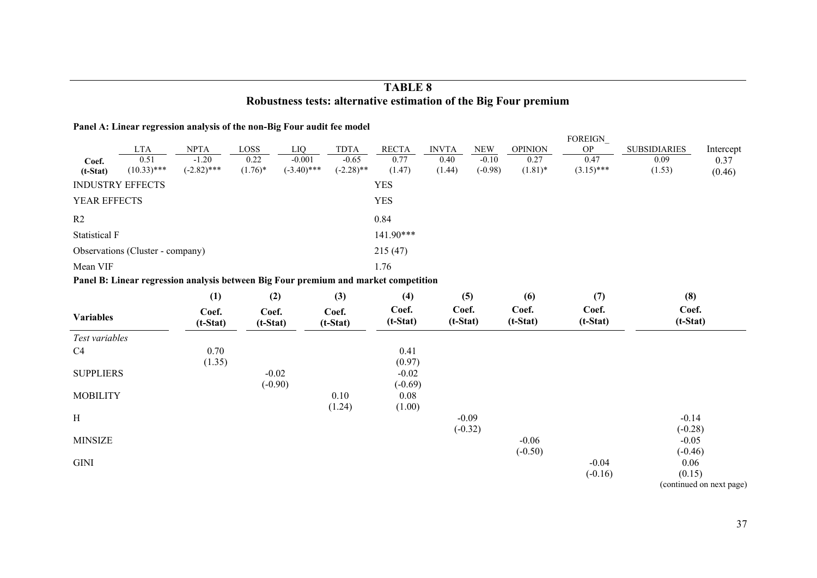## **TABLE 8 Robustness tests: alternative estimation of the Big Four premium**

### **Panel A: Linear regression analysis of the non-Big Four audit fee model**

|                  |                                  |                                                                                     |                     |                           |                         |                      |                     |            |                     | FOREIGN              |                      |                          |
|------------------|----------------------------------|-------------------------------------------------------------------------------------|---------------------|---------------------------|-------------------------|----------------------|---------------------|------------|---------------------|----------------------|----------------------|--------------------------|
|                  | <b>LTA</b>                       | <b>NPTA</b>                                                                         | LOSS                | LIQ                       | <b>TDTA</b>             | <b>RECTA</b>         | <b>INVTA</b>        | <b>NEW</b> | <b>OPINION</b>      | ${\rm OP}$           | <b>SUBSIDIARIES</b>  | Intercept                |
| Coef.            | 0.51<br>$(10.33)$ ***            | $-1.20$<br>$(-2.82)$ ***                                                            | 0.22                | $-0.001$<br>$(-3.40)$ *** | $-0.65$<br>$(-2.28)$ ** | 0.77                 | 0.40                | $-0.10$    | 0.27<br>$(1.81)$ *  | 0.47<br>$(3.15)$ *** | 0.09                 | 0.37                     |
| $(t-Stat)$       |                                  |                                                                                     | $(1.76)^*$          |                           |                         | (1.47)               | (1.44)              | $(-0.98)$  |                     |                      | (1.53)               | (0.46)                   |
|                  | <b>INDUSTRY EFFECTS</b>          |                                                                                     |                     |                           |                         | <b>YES</b>           |                     |            |                     |                      |                      |                          |
| YEAR EFFECTS     |                                  |                                                                                     |                     |                           |                         | <b>YES</b>           |                     |            |                     |                      |                      |                          |
| R2               |                                  |                                                                                     |                     |                           |                         | 0.84                 |                     |            |                     |                      |                      |                          |
| Statistical F    |                                  |                                                                                     |                     |                           |                         | 141.90***            |                     |            |                     |                      |                      |                          |
|                  | Observations (Cluster - company) |                                                                                     |                     |                           |                         | 215(47)              |                     |            |                     |                      |                      |                          |
| Mean VIF         |                                  |                                                                                     |                     |                           |                         | 1.76                 |                     |            |                     |                      |                      |                          |
|                  |                                  | Panel B: Linear regression analysis between Big Four premium and market competition |                     |                           |                         |                      |                     |            |                     |                      |                      |                          |
|                  |                                  | (1)                                                                                 | (2)                 |                           | (3)                     | (4)                  |                     | (5)        | (6)                 | (7)                  | (8)                  |                          |
| <b>Variables</b> |                                  | Coef.<br>$(t-Stat)$                                                                 | Coef.<br>$(t-Stat)$ |                           | Coef.<br>$(t-Stat)$     | Coef.<br>$(t-Stat)$  | Coef.<br>$(t-Stat)$ |            | Coef.<br>$(t-Stat)$ | Coef.<br>$(t-Stat)$  | Coef.<br>$(t-Stat)$  |                          |
| Test variables   |                                  |                                                                                     |                     |                           |                         |                      |                     |            |                     |                      |                      |                          |
| C <sub>4</sub>   |                                  | 0.70<br>(1.35)                                                                      |                     |                           |                         | 0.41<br>(0.97)       |                     |            |                     |                      |                      |                          |
| <b>SUPPLIERS</b> |                                  |                                                                                     |                     | $-0.02$<br>$(-0.90)$      |                         | $-0.02$<br>$(-0.69)$ |                     |            |                     |                      |                      |                          |
| <b>MOBILITY</b>  |                                  |                                                                                     |                     |                           | 0.10                    | 0.08                 |                     |            |                     |                      |                      |                          |
| H                |                                  |                                                                                     |                     |                           | (1.24)                  | (1.00)               |                     | $-0.09$    |                     |                      | $-0.14$              |                          |
| <b>MINSIZE</b>   |                                  |                                                                                     |                     |                           |                         |                      |                     | $(-0.32)$  | $-0.06$             |                      | $(-0.28)$<br>$-0.05$ |                          |
|                  |                                  |                                                                                     |                     |                           |                         |                      |                     |            | $(-0.50)$           |                      | $(-0.46)$            |                          |
| GINI             |                                  |                                                                                     |                     |                           |                         |                      |                     |            |                     | $-0.04$              | 0.06                 |                          |
|                  |                                  |                                                                                     |                     |                           |                         |                      |                     |            |                     | $(-0.16)$            | (0.15)               |                          |
|                  |                                  |                                                                                     |                     |                           |                         |                      |                     |            |                     |                      |                      | (continued on next page) |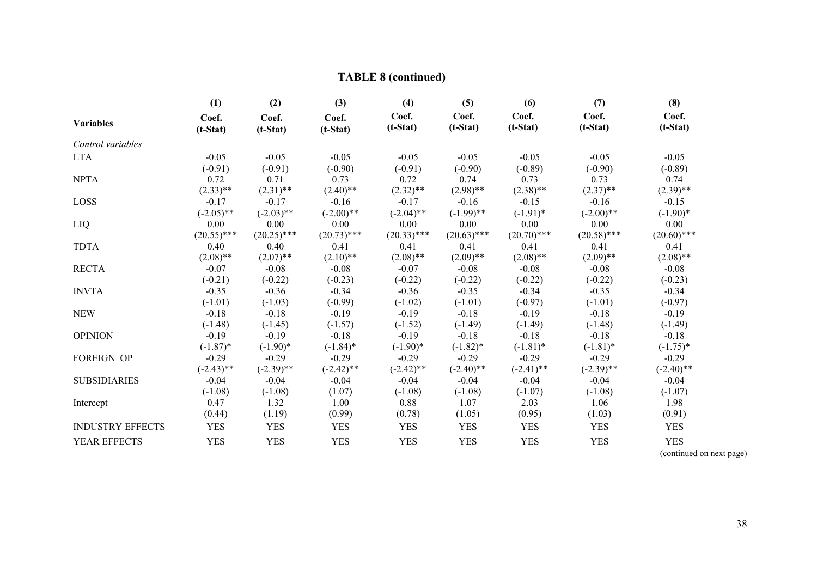|                         | (1)                 | (2)                 | (3)                 | (4)                 | (5)                 | (6)                 | (7)                 | (8)                 |
|-------------------------|---------------------|---------------------|---------------------|---------------------|---------------------|---------------------|---------------------|---------------------|
| <b>Variables</b>        | Coef.<br>$(t-Stat)$ | Coef.<br>$(t-Stat)$ | Coef.<br>$(t-Stat)$ | Coef.<br>$(t-Stat)$ | Coef.<br>$(t-Stat)$ | Coef.<br>$(t-Stat)$ | Coef.<br>$(t-Stat)$ | Coef.<br>$(t-Stat)$ |
| Control variables       |                     |                     |                     |                     |                     |                     |                     |                     |
| <b>LTA</b>              | $-0.05$             | $-0.05$             | $-0.05$             | $-0.05$             | $-0.05$             | $-0.05$             | $-0.05$             | $-0.05$             |
|                         | $(-0.91)$           | $(-0.91)$           | $(-0.90)$           | $(-0.91)$           | $(-0.90)$           | $(-0.89)$           | $(-0.90)$           | $(-0.89)$           |
| <b>NPTA</b>             | 0.72                | 0.71                | 0.73                | 0.72                | 0.74                | 0.73                | 0.73                | 0.74                |
|                         | $(2.33)$ **         | $(2.31)$ **         | $(2.40)$ **         | $(2.32)$ **         | $(2.98)$ **         | $(2.38)$ **         | $(2.37)$ **         | $(2.39)$ **         |
| <b>LOSS</b>             | $-0.17$             | $-0.17$             | $-0.16$             | $-0.17$             | $-0.16$             | $-0.15$             | $-0.16$             | $-0.15$             |
|                         | $(-2.05)$ **        | $(-2.03)$ **        | $(-2.00)$ **        | $(-2.04)$ **        | $(-1.99)$ **        | $(-1.91)^*$         | $(-2.00)$ **        | $(-1.90)$ *         |
| LIQ                     | 0.00                | 0.00                | 0.00                | 0.00                | 0.00                | 0.00                | 0.00                | 0.00                |
|                         | $(20.55)$ ***       | $(20.25)$ ***       | $(20.73)$ ***       | $(20.33)$ ***       | $(20.63)$ ***       | $(20.70)$ ***       | $(20.58)$ ***       | $(20.60)$ ***       |
| <b>TDTA</b>             | 0.40                | 0.40                | 0.41                | 0.41                | 0.41                | 0.41                | 0.41                | 0.41                |
|                         | $(2.08)$ **         | $(2.07)$ **         | $(2.10)$ **         | $(2.08)$ **         | $(2.09)$ **         | $(2.08)$ **         | $(2.09)$ **         | $(2.08)$ **         |
| <b>RECTA</b>            | $-0.07$             | $-0.08$             | $-0.08$             | $-0.07$             | $-0.08$             | $-0.08$             | $-0.08$             | $-0.08$             |
|                         | $(-0.21)$           | $(-0.22)$           | $(-0.23)$           | $(-0.22)$           | $(-0.22)$           | $(-0.22)$           | $(-0.22)$           | $(-0.23)$           |
| <b>INVTA</b>            | $-0.35$             | $-0.36$             | $-0.34$             | $-0.36$             | $-0.35$             | $-0.34$             | $-0.35$             | $-0.34$             |
|                         | $(-1.01)$           | $(-1.03)$           | $(-0.99)$           | $(-1.02)$           | $(-1.01)$           | $(-0.97)$           | $(-1.01)$           | $(-0.97)$           |
| <b>NEW</b>              | $-0.18$             | $-0.18$             | $-0.19$             | $-0.19$             | $-0.18$             | $-0.19$             | $-0.18$             | $-0.19$             |
|                         | $(-1.48)$           | $(-1.45)$           | $(-1.57)$           | $(-1.52)$           | $(-1.49)$           | $(-1.49)$           | $(-1.48)$           | $(-1.49)$           |
| <b>OPINION</b>          | $-0.19$             | $-0.19$             | $-0.18$             | $-0.19$             | $-0.18$             | $-0.18$             | $-0.18$             | $-0.18$             |
|                         | $(-1.87)$ *         | $(-1.90)*$          | $(-1.84)$ *         | $(-1.90)*$          | $(-1.82)*$          | $(-1.81)$ *         | $(-1.81)^*$         | $(-1.75)^*$         |
| FOREIGN OP              | $-0.29$             | $-0.29$             | $-0.29$             | $-0.29$             | $-0.29$             | $-0.29$             | $-0.29$             | $-0.29$             |
|                         | $(-2.43)$ **        | $(-2.39)$ **        | $(-2.42)$ **        | $(-2.42)$ **        | $(-2.40)$ **        | $(-2.41)$ **        | $(-2.39)$ **        | $(-2.40)$ **        |
| <b>SUBSIDIARIES</b>     | $-0.04$             | $-0.04$             | $-0.04$             | $-0.04$             | $-0.04$             | $-0.04$             | $-0.04$             | $-0.04$             |
|                         | $(-1.08)$           | $(-1.08)$           | (1.07)              | $(-1.08)$           | $(-1.08)$           | $(-1.07)$           | $(-1.08)$           | $(-1.07)$           |
| Intercept               | 0.47                | 1.32                | 1.00                | 0.88                | 1.07                | 2.03                | 1.06                | 1.98                |
|                         | (0.44)              | (1.19)              | (0.99)              | (0.78)              | (1.05)              | (0.95)              | (1.03)              | (0.91)              |
| <b>INDUSTRY EFFECTS</b> | <b>YES</b>          | <b>YES</b>          | <b>YES</b>          | <b>YES</b>          | <b>YES</b>          | <b>YES</b>          | <b>YES</b>          | <b>YES</b>          |
| <b>YEAR EFFECTS</b>     | <b>YES</b>          | <b>YES</b>          | <b>YES</b>          | <b>YES</b>          | <b>YES</b>          | <b>YES</b>          | <b>YES</b>          | <b>YES</b>          |

# **TABLE 8 (continued)**

(continued on next page)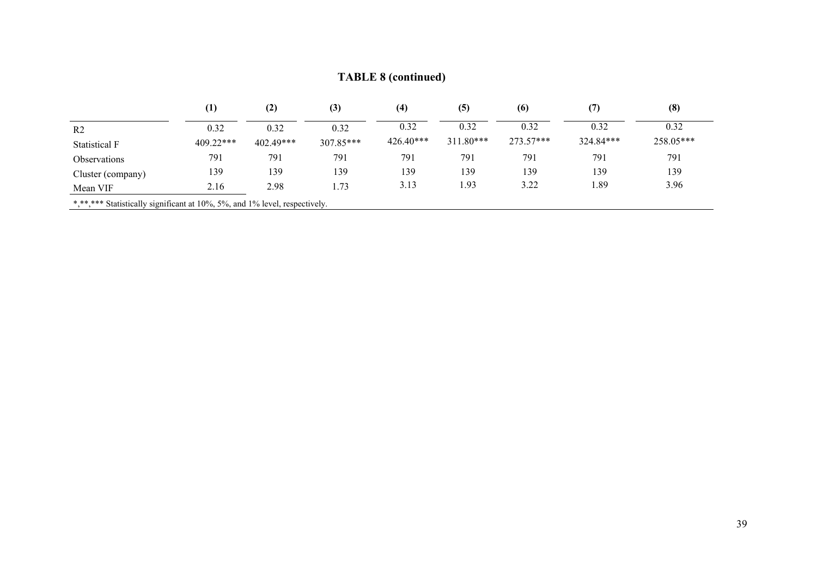## **TABLE 8 (continued)**

|                                                                            | $\bf{(1)}$ | (2)         | (3)       | (4)         | (5)         | (6)       | (7)       | (8)       |
|----------------------------------------------------------------------------|------------|-------------|-----------|-------------|-------------|-----------|-----------|-----------|
| R <sub>2</sub>                                                             | 0.32       | 0.32        | 0.32      | 0.32        | 0.32        | 0.32      | 0.32      | 0.32      |
| <b>Statistical F</b>                                                       | 409.22***  | $402.49***$ | 307.85*** | $426.40***$ | $311.80***$ | 273.57*** | 324.84*** | 258.05*** |
| <i><b>Observations</b></i>                                                 | 791        | 791         | 791       | 791         | 791         | 791       | 791       | 791       |
| Cluster (company)                                                          | 139        | 139         | 139       | 139         | 139         | 139       | 139       | 139       |
| Mean VIF                                                                   | 2.16       | 2.98        | 1.73      | 3.13        | 1.93        | 3.22      | 1.89      | 3.96      |
| *,**,*** Statistically significant at 10%, 5%, and 1% level, respectively. |            |             |           |             |             |           |           |           |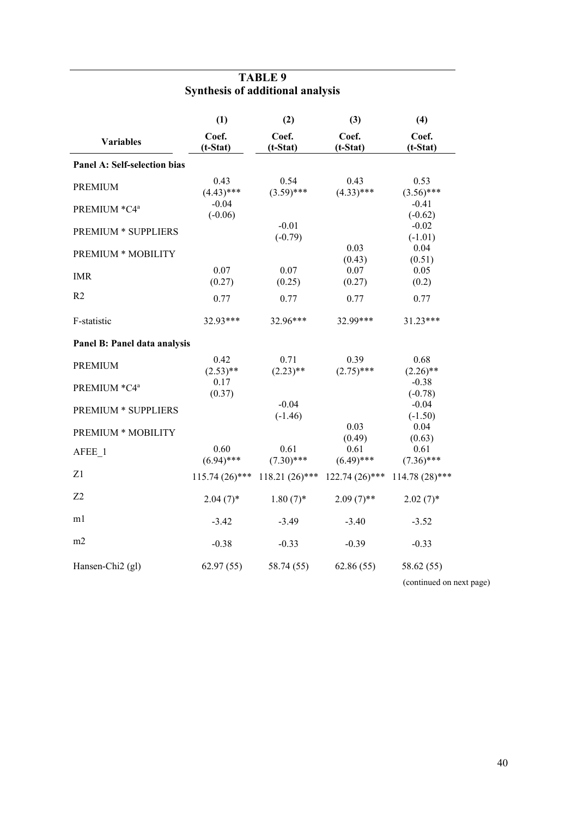|                              | (1)                  | (2)                  | (3)                  | (4)                  |  |  |  |
|------------------------------|----------------------|----------------------|----------------------|----------------------|--|--|--|
| <b>Variables</b>             | Coef.<br>$(t-Stat)$  | Coef.<br>$(t-Stat)$  | Coef.<br>$(t-Stat)$  | Coef.<br>$(t-Stat)$  |  |  |  |
| Panel A: Self-selection bias |                      |                      |                      |                      |  |  |  |
| <b>PREMIUM</b>               | 0.43<br>$(4.43)$ *** | 0.54<br>$(3.59)$ *** | 0.43<br>$(4.33)$ *** | 0.53<br>$(3.56)$ *** |  |  |  |
| PREMIUM *C4ª                 | $-0.04$<br>$(-0.06)$ |                      |                      | $-0.41$<br>$(-0.62)$ |  |  |  |
| PREMIUM * SUPPLIERS          |                      | $-0.01$<br>$(-0.79)$ |                      | $-0.02$<br>$(-1.01)$ |  |  |  |
| PREMIUM * MOBILITY           |                      |                      | 0.03<br>(0.43)       | 0.04<br>(0.51)       |  |  |  |
| <b>IMR</b>                   | 0.07<br>(0.27)       | 0.07<br>(0.25)       | 0.07<br>(0.27)       | 0.05<br>(0.2)        |  |  |  |
| R <sub>2</sub>               | 0.77                 | 0.77                 | 0.77                 | 0.77                 |  |  |  |
| F-statistic                  | 32.93***             | 32.96***             | 32.99***             | 31.23***             |  |  |  |
| Panel B: Panel data analysis |                      |                      |                      |                      |  |  |  |
| <b>PREMIUM</b>               | 0.42<br>$(2.53)$ **  | 0.71<br>$(2.23)$ **  | 0.39<br>$(2.75)$ *** | 0.68<br>$(2.26)$ **  |  |  |  |
| PREMIUM *C4ª                 | 0.17<br>(0.37)       |                      |                      | $-0.38$<br>$(-0.78)$ |  |  |  |
| PREMIUM * SUPPLIERS          |                      | $-0.04$<br>$(-1.46)$ |                      | $-0.04$<br>$(-1.50)$ |  |  |  |
| <b>PREMIUM * MOBILITY</b>    |                      |                      | 0.03<br>(0.49)       | 0.04<br>(0.63)       |  |  |  |
| AFEE 1                       | 0.60<br>$(6.94)$ *** | 0.61<br>$(7.30)$ *** | 0.61<br>$(6.49)$ *** | 0.61<br>$(7.36)$ *** |  |  |  |
| Z1                           | $115.74(26)$ ***     | $118.21(26)$ ***     | $122.74(26)$ ***     | $114.78(28)$ ***     |  |  |  |
| Z <sub>2</sub>               | $2.04(7)$ *          | $1.80(7)$ *          | $2.09(7)$ **         | $2.02(7)$ *          |  |  |  |
| m1                           | $-3.42$              | $-3.49$              | $-3.40$              | $-3.52$              |  |  |  |
| m2                           | $-0.38$              | $-0.33$              | $-0.39$              | $-0.33$              |  |  |  |
| Hansen-Chi2 (gl)             | 62.97(55)            | 58.74 (55)           | 62.86(55)            | 58.62 (55)           |  |  |  |

## **TABLE 9 Synthesis of additional analysis**

(continued on next page)